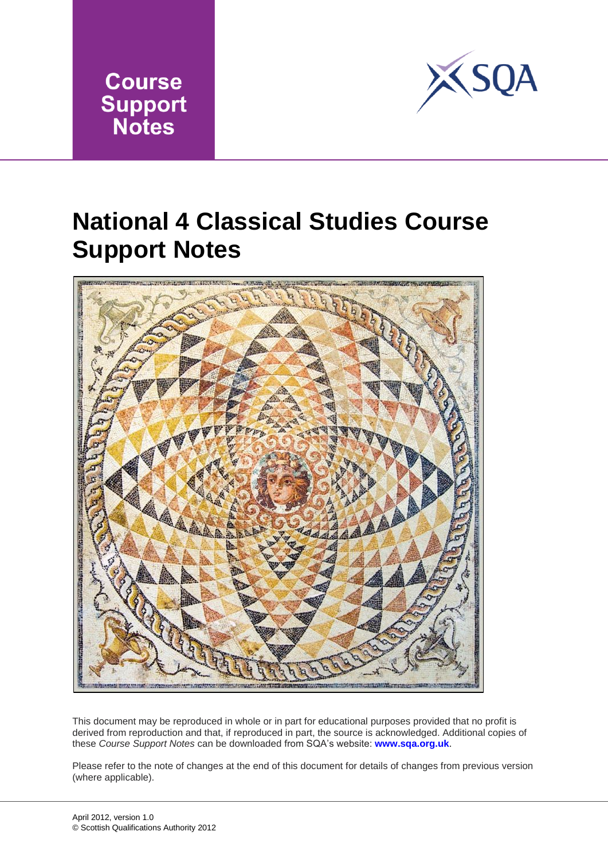



## **National 4 Classical Studies Course Support Notes**



This document may be reproduced in whole or in part for educational purposes provided that no profit is derived from reproduction and that, if reproduced in part, the source is acknowledged. Additional copies of these *Course Support Notes* can be downloaded from SQA's website: **www.sqa.org.uk**.

Please refer to the note of changes at the end of this document for details of changes from previous version (where applicable).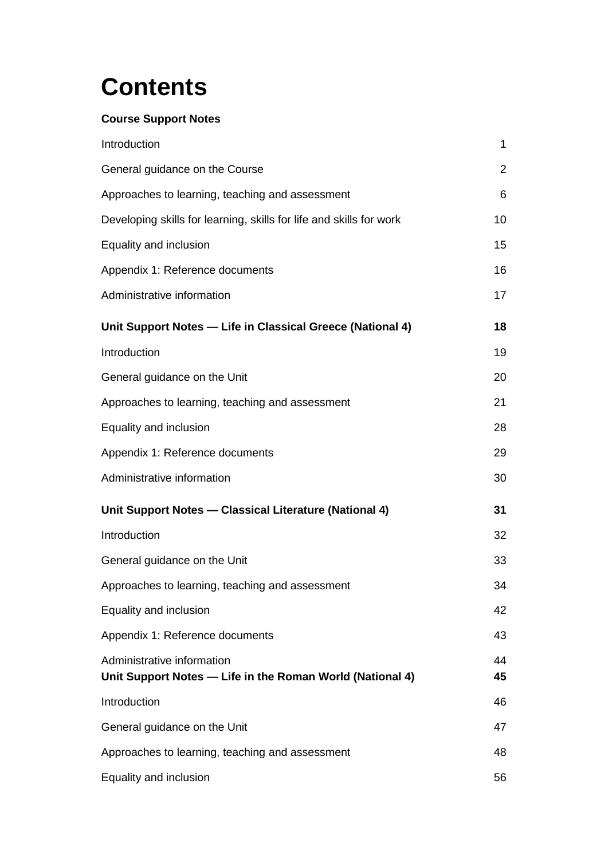# **Contents**

### **Course Support Notes**

| Introduction                                                                            | $\mathbf{1}$   |
|-----------------------------------------------------------------------------------------|----------------|
| General guidance on the Course                                                          | $\overline{2}$ |
| Approaches to learning, teaching and assessment                                         | 6              |
| Developing skills for learning, skills for life and skills for work                     | 10             |
| Equality and inclusion                                                                  | 15             |
| Appendix 1: Reference documents                                                         | 16             |
| Administrative information                                                              | 17             |
| Unit Support Notes - Life in Classical Greece (National 4)                              | 18             |
| Introduction                                                                            | 19             |
| General guidance on the Unit                                                            | 20             |
| Approaches to learning, teaching and assessment                                         | 21             |
| Equality and inclusion                                                                  | 28             |
| Appendix 1: Reference documents                                                         | 29             |
| Administrative information                                                              | 30             |
| Unit Support Notes - Classical Literature (National 4)                                  | 31             |
| Introduction                                                                            | 32             |
| General guidance on the Unit                                                            | 33             |
| Approaches to learning, teaching and assessment                                         | 34             |
| Equality and inclusion                                                                  | 42             |
| Appendix 1: Reference documents                                                         | 43             |
| Administrative information<br>Unit Support Notes - Life in the Roman World (National 4) | 44<br>45       |
| Introduction                                                                            | 46             |
| General guidance on the Unit                                                            | 47             |
| Approaches to learning, teaching and assessment                                         | 48             |
| Equality and inclusion                                                                  | 56             |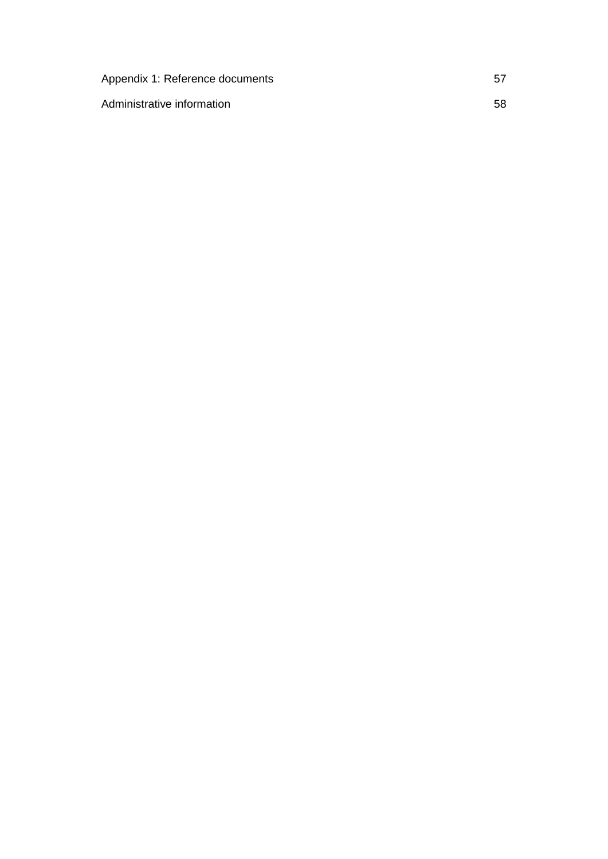| Appendix 1: Reference documents |    |
|---------------------------------|----|
| Administrative information      | 58 |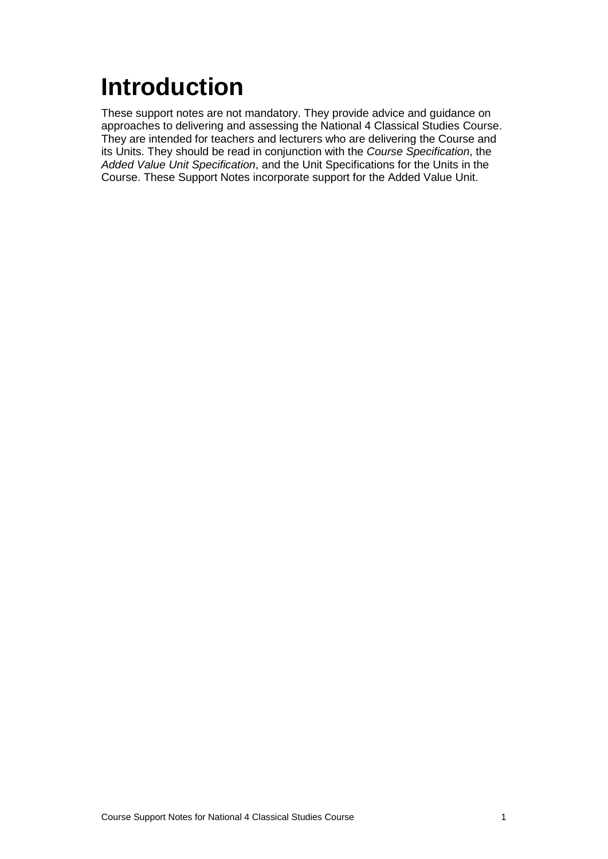# <span id="page-3-0"></span>**Introduction**

These support notes are not mandatory. They provide advice and guidance on approaches to delivering and assessing the National 4 Classical Studies Course. They are intended for teachers and lecturers who are delivering the Course and its Units. They should be read in conjunction with the *Course Specification*, the *Added Value Unit Specification*, and the Unit Specifications for the Units in the Course. These Support Notes incorporate support for the Added Value Unit.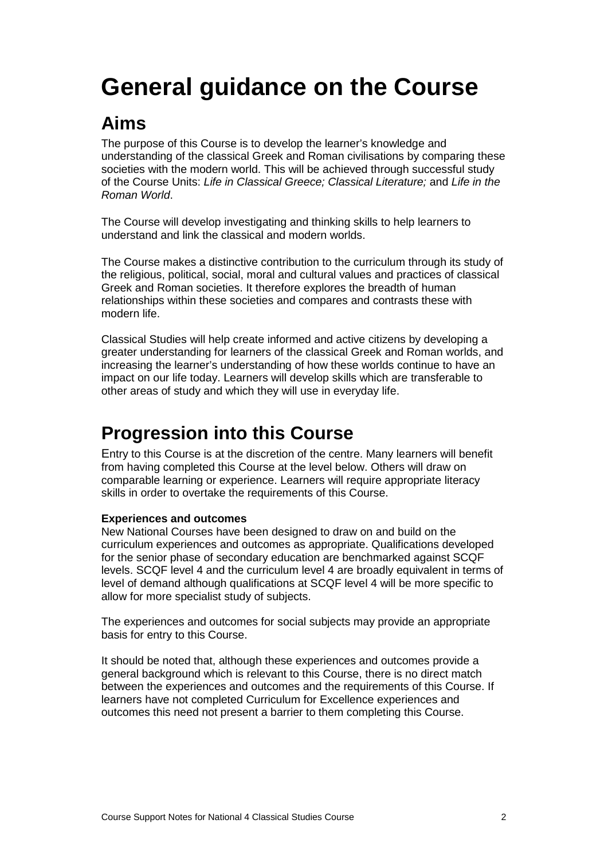# <span id="page-4-0"></span>**General guidance on the Course**

### **Aims**

The purpose of this Course is to develop the learner's knowledge and understanding of the classical Greek and Roman civilisations by comparing these societies with the modern world. This will be achieved through successful study of the Course Units: *Life in Classical Greece; Classical Literature;* and *Life in the Roman World*.

The Course will develop investigating and thinking skills to help learners to understand and link the classical and modern worlds.

The Course makes a distinctive contribution to the curriculum through its study of the religious, political, social, moral and cultural values and practices of classical Greek and Roman societies. It therefore explores the breadth of human relationships within these societies and compares and contrasts these with modern life.

Classical Studies will help create informed and active citizens by developing a greater understanding for learners of the classical Greek and Roman worlds, and increasing the learner's understanding of how these worlds continue to have an impact on our life today. Learners will develop skills which are transferable to other areas of study and which they will use in everyday life.

### **Progression into this Course**

Entry to this Course is at the discretion of the centre. Many learners will benefit from having completed this Course at the level below. Others will draw on comparable learning or experience. Learners will require appropriate literacy skills in order to overtake the requirements of this Course.

### **Experiences and outcomes**

New National Courses have been designed to draw on and build on the curriculum experiences and outcomes as appropriate. Qualifications developed for the senior phase of secondary education are benchmarked against SCQF levels. SCQF level 4 and the curriculum level 4 are broadly equivalent in terms of level of demand although qualifications at SCQF level 4 will be more specific to allow for more specialist study of subjects.

The experiences and outcomes for social subjects may provide an appropriate basis for entry to this Course.

It should be noted that, although these experiences and outcomes provide a general background which is relevant to this Course, there is no direct match between the experiences and outcomes and the requirements of this Course. If learners have not completed Curriculum for Excellence experiences and outcomes this need not present a barrier to them completing this Course.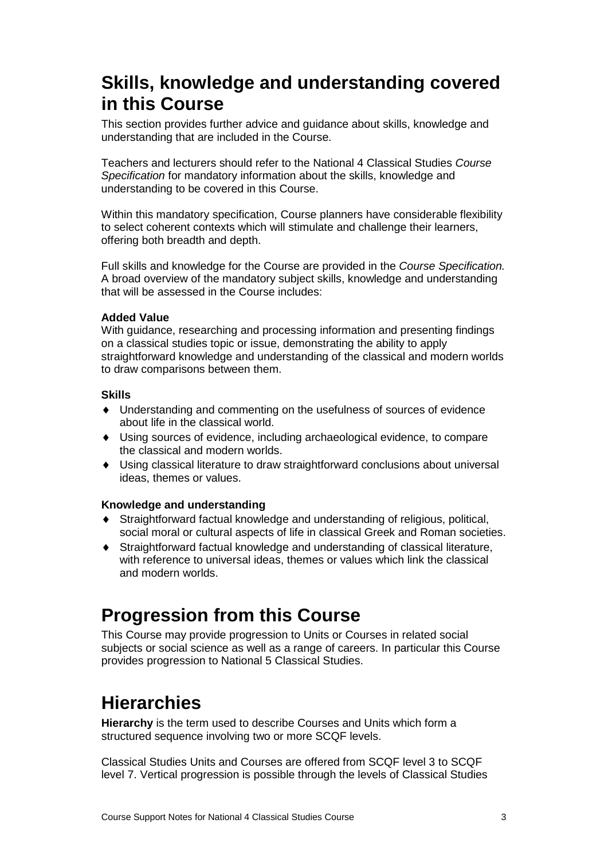### **Skills, knowledge and understanding covered in this Course**

This section provides further advice and guidance about skills, knowledge and understanding that are included in the Course.

Teachers and lecturers should refer to the National 4 Classical Studies *Course Specification* for mandatory information about the skills, knowledge and understanding to be covered in this Course.

Within this mandatory specification, Course planners have considerable flexibility to select coherent contexts which will stimulate and challenge their learners, offering both breadth and depth.

Full skills and knowledge for the Course are provided in the *Course Specification.* A broad overview of the mandatory subject skills, knowledge and understanding that will be assessed in the Course includes:

### **Added Value**

With guidance, researching and processing information and presenting findings on a classical studies topic or issue, demonstrating the ability to apply straightforward knowledge and understanding of the classical and modern worlds to draw comparisons between them.

### **Skills**

- ♦ Understanding and commenting on the usefulness of sources of evidence about life in the classical world.
- ♦ Using sources of evidence, including archaeological evidence, to compare the classical and modern worlds.
- ♦ Using classical literature to draw straightforward conclusions about universal ideas, themes or values.

### **Knowledge and understanding**

- Straightforward factual knowledge and understanding of religious, political, social moral or cultural aspects of life in classical Greek and Roman societies.
- Straightforward factual knowledge and understanding of classical literature, with reference to universal ideas, themes or values which link the classical and modern worlds.

### **Progression from this Course**

This Course may provide progression to Units or Courses in related social subjects or social science as well as a range of careers. In particular this Course provides progression to National 5 Classical Studies.

### **Hierarchies**

**Hierarchy** is the term used to describe Courses and Units which form a structured sequence involving two or more SCQF levels.

Classical Studies Units and Courses are offered from SCQF level 3 to SCQF level 7. Vertical progression is possible through the levels of Classical Studies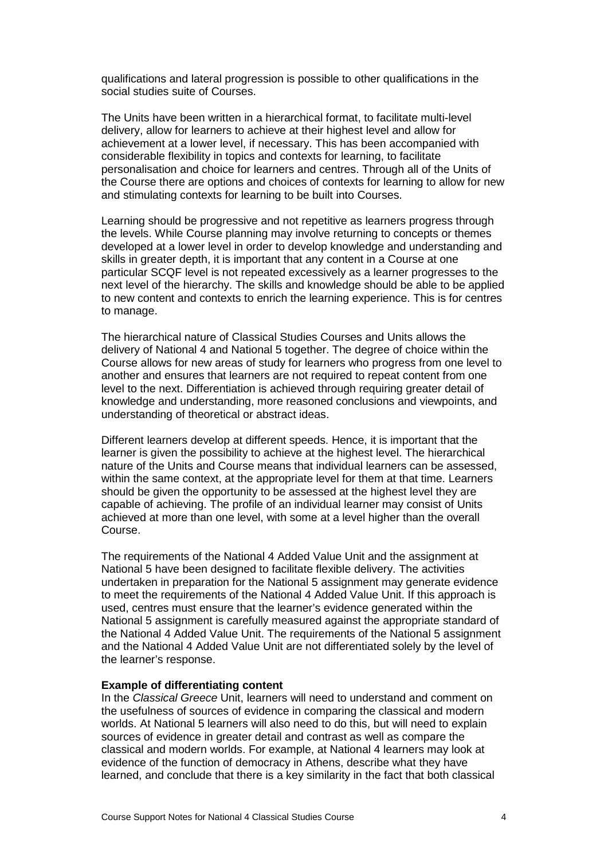qualifications and lateral progression is possible to other qualifications in the social studies suite of Courses.

The Units have been written in a hierarchical format, to facilitate multi-level delivery, allow for learners to achieve at their highest level and allow for achievement at a lower level, if necessary. This has been accompanied with considerable flexibility in topics and contexts for learning, to facilitate personalisation and choice for learners and centres. Through all of the Units of the Course there are options and choices of contexts for learning to allow for new and stimulating contexts for learning to be built into Courses.

Learning should be progressive and not repetitive as learners progress through the levels. While Course planning may involve returning to concepts or themes developed at a lower level in order to develop knowledge and understanding and skills in greater depth, it is important that any content in a Course at one particular SCQF level is not repeated excessively as a learner progresses to the next level of the hierarchy. The skills and knowledge should be able to be applied to new content and contexts to enrich the learning experience. This is for centres to manage.

The hierarchical nature of Classical Studies Courses and Units allows the delivery of National 4 and National 5 together. The degree of choice within the Course allows for new areas of study for learners who progress from one level to another and ensures that learners are not required to repeat content from one level to the next. Differentiation is achieved through requiring greater detail of knowledge and understanding, more reasoned conclusions and viewpoints, and understanding of theoretical or abstract ideas.

Different learners develop at different speeds. Hence, it is important that the learner is given the possibility to achieve at the highest level. The hierarchical nature of the Units and Course means that individual learners can be assessed, within the same context, at the appropriate level for them at that time. Learners should be given the opportunity to be assessed at the highest level they are capable of achieving. The profile of an individual learner may consist of Units achieved at more than one level, with some at a level higher than the overall Course.

The requirements of the National 4 Added Value Unit and the assignment at National 5 have been designed to facilitate flexible delivery. The activities undertaken in preparation for the National 5 assignment may generate evidence to meet the requirements of the National 4 Added Value Unit. If this approach is used, centres must ensure that the learner's evidence generated within the National 5 assignment is carefully measured against the appropriate standard of the National 4 Added Value Unit. The requirements of the National 5 assignment and the National 4 Added Value Unit are not differentiated solely by the level of the learner's response.

#### **Example of differentiating content**

In the *Classical Greece* Unit, learners will need to understand and comment on the usefulness of sources of evidence in comparing the classical and modern worlds. At National 5 learners will also need to do this, but will need to explain sources of evidence in greater detail and contrast as well as compare the classical and modern worlds. For example, at National 4 learners may look at evidence of the function of democracy in Athens, describe what they have learned, and conclude that there is a key similarity in the fact that both classical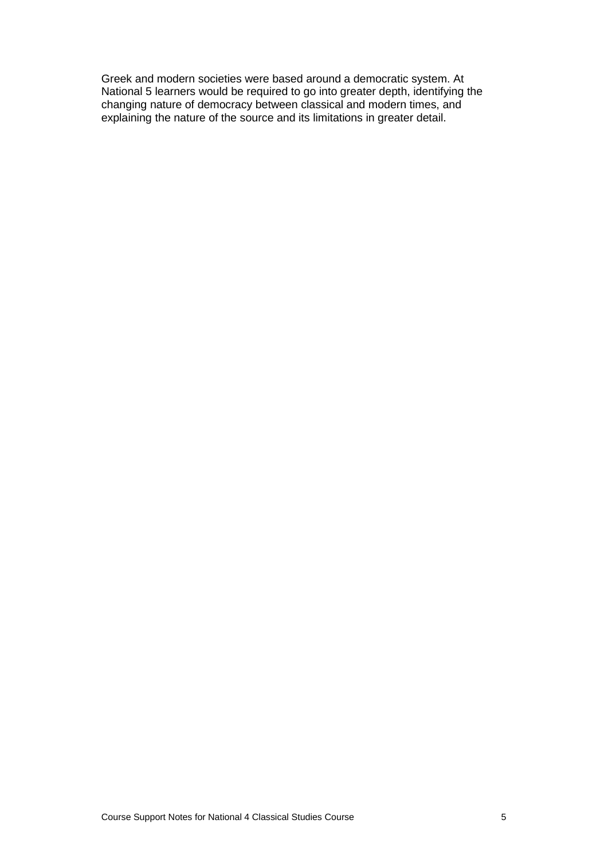Greek and modern societies were based around a democratic system. At National 5 learners would be required to go into greater depth, identifying the changing nature of democracy between classical and modern times, and explaining the nature of the source and its limitations in greater detail.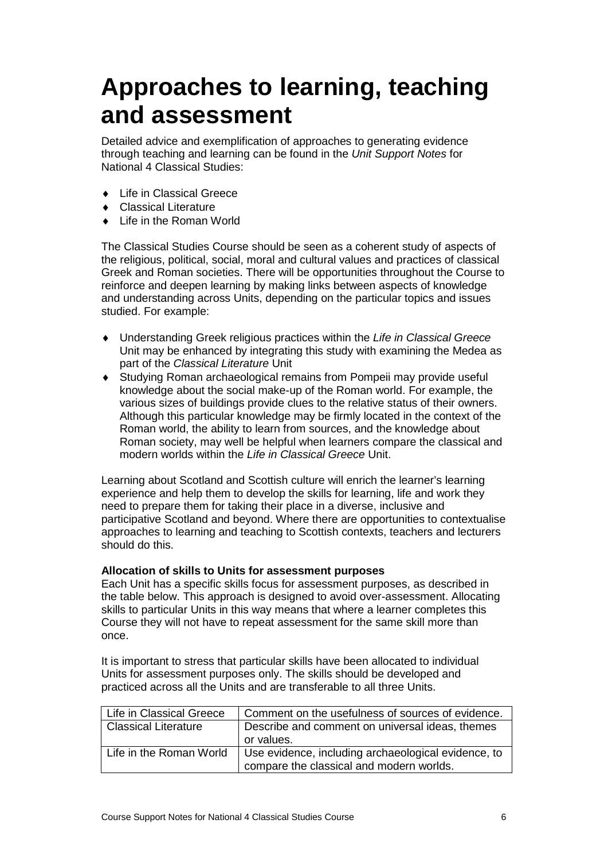## <span id="page-8-0"></span>**Approaches to learning, teaching and assessment**

Detailed advice and exemplification of approaches to generating evidence through teaching and learning can be found in the *Unit Support Notes* for National 4 Classical Studies:

- ♦ Life in Classical Greece
- **Classical Literature**
- Life in the Roman World

The Classical Studies Course should be seen as a coherent study of aspects of the religious, political, social, moral and cultural values and practices of classical Greek and Roman societies. There will be opportunities throughout the Course to reinforce and deepen learning by making links between aspects of knowledge and understanding across Units, depending on the particular topics and issues studied. For example:

- ♦ Understanding Greek religious practices within the *Life in Classical Greece*  Unit may be enhanced by integrating this study with examining the Medea as part of the *Classical Literature* Unit
- ♦ Studying Roman archaeological remains from Pompeii may provide useful knowledge about the social make-up of the Roman world. For example, the various sizes of buildings provide clues to the relative status of their owners. Although this particular knowledge may be firmly located in the context of the Roman world, the ability to learn from sources, and the knowledge about Roman society, may well be helpful when learners compare the classical and modern worlds within the *Life in Classical Greece* Unit.

Learning about Scotland and Scottish culture will enrich the learner's learning experience and help them to develop the skills for learning, life and work they need to prepare them for taking their place in a diverse, inclusive and participative Scotland and beyond. Where there are opportunities to contextualise approaches to learning and teaching to Scottish contexts, teachers and lecturers should do this.

### **Allocation of skills to Units for assessment purposes**

Each Unit has a specific skills focus for assessment purposes, as described in the table below. This approach is designed to avoid over-assessment. Allocating skills to particular Units in this way means that where a learner completes this Course they will not have to repeat assessment for the same skill more than once.

It is important to stress that particular skills have been allocated to individual Units for assessment purposes only. The skills should be developed and practiced across all the Units and are transferable to all three Units.

| Life in Classical Greece    | Comment on the usefulness of sources of evidence.   |  |
|-----------------------------|-----------------------------------------------------|--|
| <b>Classical Literature</b> | Describe and comment on universal ideas, themes     |  |
|                             | or values.                                          |  |
| Life in the Roman World     | Use evidence, including archaeological evidence, to |  |
|                             | compare the classical and modern worlds.            |  |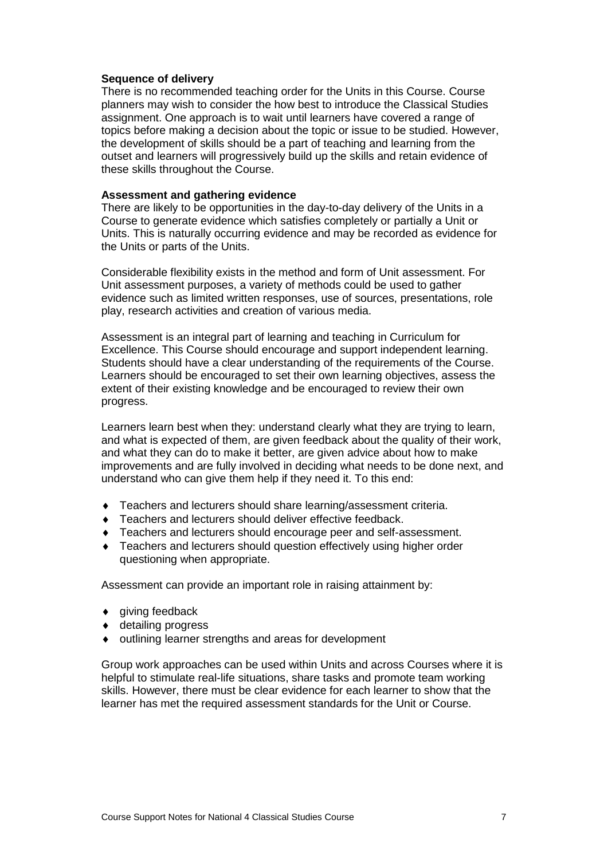### **Sequence of delivery**

There is no recommended teaching order for the Units in this Course. Course planners may wish to consider the how best to introduce the Classical Studies assignment. One approach is to wait until learners have covered a range of topics before making a decision about the topic or issue to be studied. However, the development of skills should be a part of teaching and learning from the outset and learners will progressively build up the skills and retain evidence of these skills throughout the Course.

### **Assessment and gathering evidence**

There are likely to be opportunities in the day-to-day delivery of the Units in a Course to generate evidence which satisfies completely or partially a Unit or Units. This is naturally occurring evidence and may be recorded as evidence for the Units or parts of the Units.

Considerable flexibility exists in the method and form of Unit assessment. For Unit assessment purposes, a variety of methods could be used to gather evidence such as limited written responses, use of sources, presentations, role play, research activities and creation of various media.

Assessment is an integral part of learning and teaching in Curriculum for Excellence. This Course should encourage and support independent learning. Students should have a clear understanding of the requirements of the Course. Learners should be encouraged to set their own learning objectives, assess the extent of their existing knowledge and be encouraged to review their own progress.

Learners learn best when they: understand clearly what they are trying to learn, and what is expected of them, are given feedback about the quality of their work, and what they can do to make it better, are given advice about how to make improvements and are fully involved in deciding what needs to be done next, and understand who can give them help if they need it. To this end:

- ♦ Teachers and lecturers should share learning/assessment criteria.
- ♦ Teachers and lecturers should deliver effective feedback.
- ♦ Teachers and lecturers should encourage peer and self-assessment.
- ♦ Teachers and lecturers should question effectively using higher order questioning when appropriate.

Assessment can provide an important role in raising attainment by:

- $\bullet$  giving feedback
- ♦ detailing progress
- outlining learner strengths and areas for development

Group work approaches can be used within Units and across Courses where it is helpful to stimulate real-life situations, share tasks and promote team working skills. However, there must be clear evidence for each learner to show that the learner has met the required assessment standards for the Unit or Course.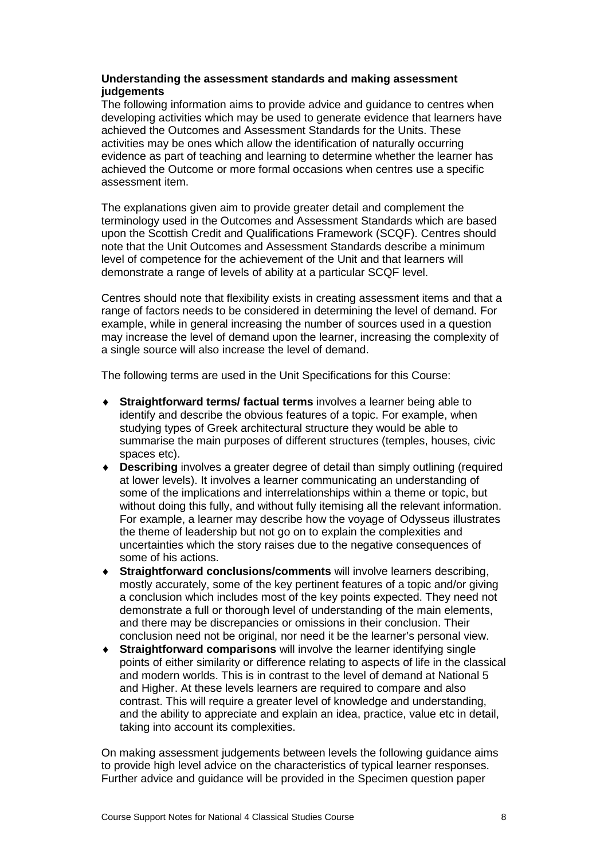### **Understanding the assessment standards and making assessment judgements**

The following information aims to provide advice and guidance to centres when developing activities which may be used to generate evidence that learners have achieved the Outcomes and Assessment Standards for the Units. These activities may be ones which allow the identification of naturally occurring evidence as part of teaching and learning to determine whether the learner has achieved the Outcome or more formal occasions when centres use a specific assessment item.

The explanations given aim to provide greater detail and complement the terminology used in the Outcomes and Assessment Standards which are based upon the Scottish Credit and Qualifications Framework (SCQF). Centres should note that the Unit Outcomes and Assessment Standards describe a minimum level of competence for the achievement of the Unit and that learners will demonstrate a range of levels of ability at a particular SCQF level.

Centres should note that flexibility exists in creating assessment items and that a range of factors needs to be considered in determining the level of demand. For example, while in general increasing the number of sources used in a question may increase the level of demand upon the learner, increasing the complexity of a single source will also increase the level of demand.

The following terms are used in the Unit Specifications for this Course:

- ♦ **Straightforward terms/ factual terms** involves a learner being able to identify and describe the obvious features of a topic. For example, when studying types of Greek architectural structure they would be able to summarise the main purposes of different structures (temples, houses, civic spaces etc).
- ♦ **Describing** involves a greater degree of detail than simply outlining (required at lower levels). It involves a learner communicating an understanding of some of the implications and interrelationships within a theme or topic, but without doing this fully, and without fully itemising all the relevant information. For example, a learner may describe how the voyage of Odysseus illustrates the theme of leadership but not go on to explain the complexities and uncertainties which the story raises due to the negative consequences of some of his actions.
- **Straightforward conclusions/comments** will involve learners describing, mostly accurately, some of the key pertinent features of a topic and/or giving a conclusion which includes most of the key points expected. They need not demonstrate a full or thorough level of understanding of the main elements, and there may be discrepancies or omissions in their conclusion. Their conclusion need not be original, nor need it be the learner's personal view.
- ♦ **Straightforward comparisons** will involve the learner identifying single points of either similarity or difference relating to aspects of life in the classical and modern worlds. This is in contrast to the level of demand at National 5 and Higher. At these levels learners are required to compare and also contrast. This will require a greater level of knowledge and understanding, and the ability to appreciate and explain an idea, practice, value etc in detail, taking into account its complexities.

On making assessment judgements between levels the following guidance aims to provide high level advice on the characteristics of typical learner responses. Further advice and guidance will be provided in the Specimen question paper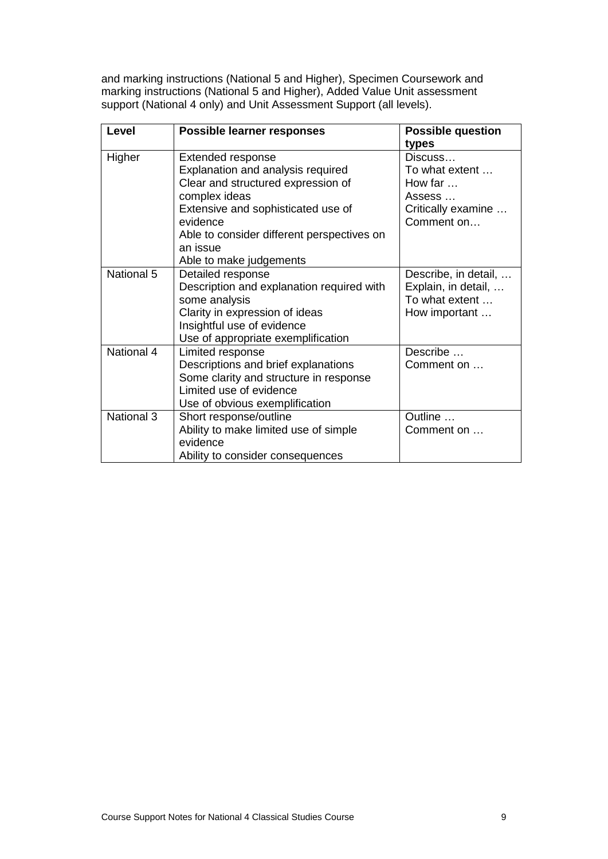and marking instructions (National 5 and Higher), Specimen Coursework and marking instructions (National 5 and Higher), Added Value Unit assessment support (National 4 only) and Unit Assessment Support (all levels).

| Level      | <b>Possible learner responses</b>          | <b>Possible question</b> |  |
|------------|--------------------------------------------|--------------------------|--|
|            |                                            | types                    |  |
| Higher     | Extended response                          | Discuss                  |  |
|            | Explanation and analysis required          | To what extent           |  |
|            | Clear and structured expression of         | How far $\dots$          |  |
|            | complex ideas                              | Assess                   |  |
|            | Extensive and sophisticated use of         | Critically examine       |  |
|            | evidence                                   | Comment on               |  |
|            | Able to consider different perspectives on |                          |  |
|            | an issue                                   |                          |  |
|            | Able to make judgements                    |                          |  |
| National 5 | Detailed response                          | Describe, in detail,     |  |
|            | Description and explanation required with  | Explain, in detail,      |  |
|            | some analysis                              | To what extent           |  |
|            | Clarity in expression of ideas             | How important            |  |
|            | Insightful use of evidence                 |                          |  |
|            | Use of appropriate exemplification         |                          |  |
| National 4 | Limited response                           | Describe                 |  |
|            | Descriptions and brief explanations        | Comment on               |  |
|            | Some clarity and structure in response     |                          |  |
|            | Limited use of evidence                    |                          |  |
|            | Use of obvious exemplification             |                          |  |
| National 3 | Short response/outline                     | Outline                  |  |
|            | Ability to make limited use of simple      | Comment on               |  |
|            | evidence                                   |                          |  |
|            | Ability to consider consequences           |                          |  |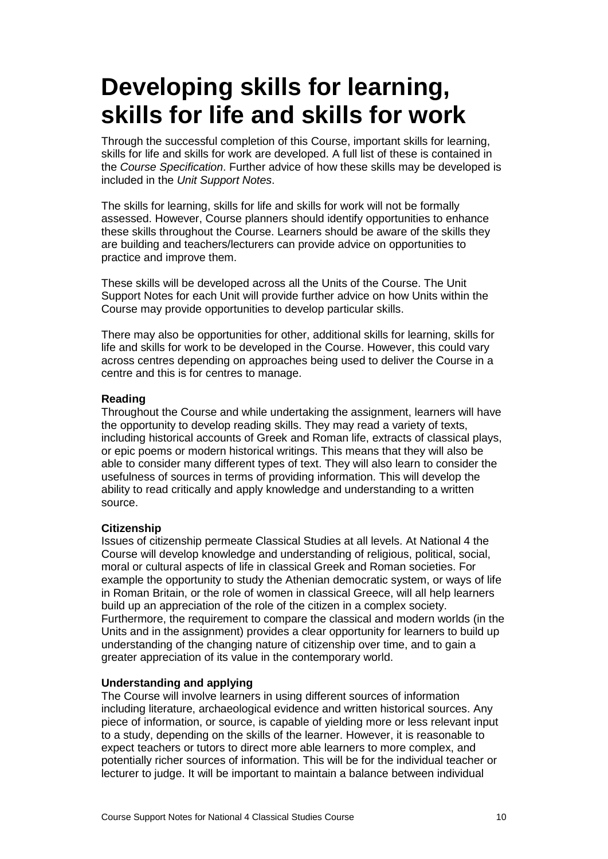## <span id="page-12-0"></span>**Developing skills for learning, skills for life and skills for work**

Through the successful completion of this Course, important skills for learning, skills for life and skills for work are developed. A full list of these is contained in the *Course Specification*. Further advice of how these skills may be developed is included in the *Unit Support Notes*.

The skills for learning, skills for life and skills for work will not be formally assessed. However, Course planners should identify opportunities to enhance these skills throughout the Course. Learners should be aware of the skills they are building and teachers/lecturers can provide advice on opportunities to practice and improve them.

These skills will be developed across all the Units of the Course. The Unit Support Notes for each Unit will provide further advice on how Units within the Course may provide opportunities to develop particular skills.

There may also be opportunities for other, additional skills for learning, skills for life and skills for work to be developed in the Course. However, this could vary across centres depending on approaches being used to deliver the Course in a centre and this is for centres to manage.

### **Reading**

Throughout the Course and while undertaking the assignment, learners will have the opportunity to develop reading skills. They may read a variety of texts, including historical accounts of Greek and Roman life, extracts of classical plays, or epic poems or modern historical writings. This means that they will also be able to consider many different types of text. They will also learn to consider the usefulness of sources in terms of providing information. This will develop the ability to read critically and apply knowledge and understanding to a written source.

### **Citizenship**

Issues of citizenship permeate Classical Studies at all levels. At National 4 the Course will develop knowledge and understanding of religious, political, social, moral or cultural aspects of life in classical Greek and Roman societies. For example the opportunity to study the Athenian democratic system, or ways of life in Roman Britain, or the role of women in classical Greece, will all help learners build up an appreciation of the role of the citizen in a complex society. Furthermore, the requirement to compare the classical and modern worlds (in the Units and in the assignment) provides a clear opportunity for learners to build up understanding of the changing nature of citizenship over time, and to gain a greater appreciation of its value in the contemporary world.

### **Understanding and applying**

The Course will involve learners in using different sources of information including literature, archaeological evidence and written historical sources. Any piece of information, or source, is capable of yielding more or less relevant input to a study, depending on the skills of the learner. However, it is reasonable to expect teachers or tutors to direct more able learners to more complex, and potentially richer sources of information. This will be for the individual teacher or lecturer to judge. It will be important to maintain a balance between individual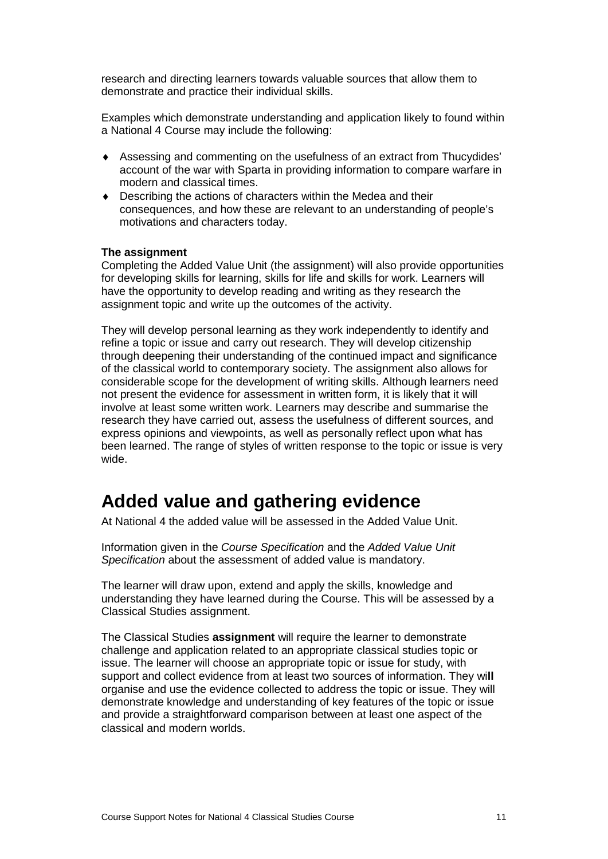research and directing learners towards valuable sources that allow them to demonstrate and practice their individual skills.

Examples which demonstrate understanding and application likely to found within a National 4 Course may include the following:

- ♦ Assessing and commenting on the usefulness of an extract from Thucydides' account of the war with Sparta in providing information to compare warfare in modern and classical times.
- ♦ Describing the actions of characters within the Medea and their consequences, and how these are relevant to an understanding of people's motivations and characters today.

### **The assignment**

Completing the Added Value Unit (the assignment) will also provide opportunities for developing skills for learning, skills for life and skills for work. Learners will have the opportunity to develop reading and writing as they research the assignment topic and write up the outcomes of the activity.

They will develop personal learning as they work independently to identify and refine a topic or issue and carry out research. They will develop citizenship through deepening their understanding of the continued impact and significance of the classical world to contemporary society. The assignment also allows for considerable scope for the development of writing skills. Although learners need not present the evidence for assessment in written form, it is likely that it will involve at least some written work. Learners may describe and summarise the research they have carried out, assess the usefulness of different sources, and express opinions and viewpoints, as well as personally reflect upon what has been learned. The range of styles of written response to the topic or issue is very wide.

### **Added value and gathering evidence**

At National 4 the added value will be assessed in the Added Value Unit.

Information given in the *Course Specification* and the *Added Value Unit Specification* about the assessment of added value is mandatory.

The learner will draw upon, extend and apply the skills, knowledge and understanding they have learned during the Course. This will be assessed by a Classical Studies assignment.

The Classical Studies **assignment** will require the learner to demonstrate challenge and application related to an appropriate classical studies topic or issue. The learner will choose an appropriate topic or issue for study, with support and collect evidence from at least two sources of information. They wi**ll**  organise and use the evidence collected to address the topic or issue. They will demonstrate knowledge and understanding of key features of the topic or issue and provide a straightforward comparison between at least one aspect of the classical and modern worlds.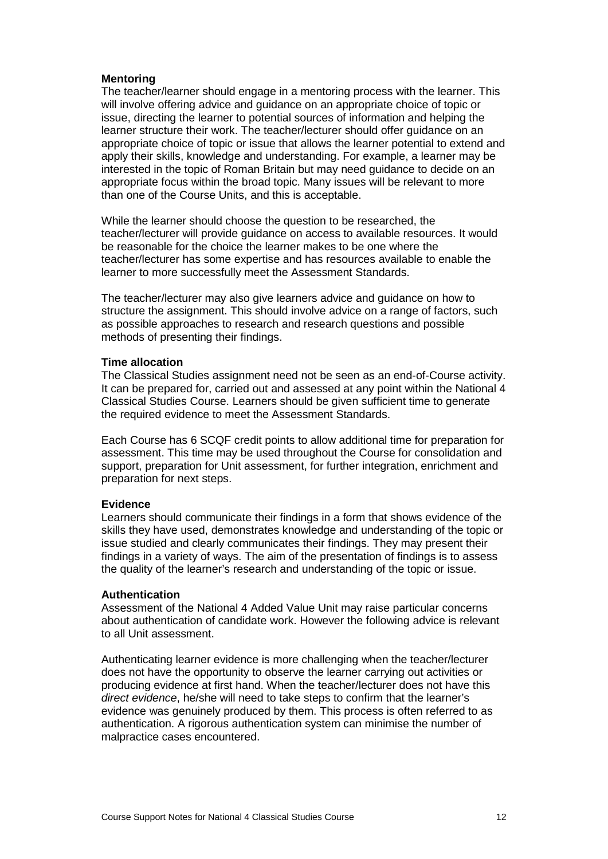### **Mentoring**

The teacher/learner should engage in a mentoring process with the learner. This will involve offering advice and guidance on an appropriate choice of topic or issue, directing the learner to potential sources of information and helping the learner structure their work. The teacher/lecturer should offer guidance on an appropriate choice of topic or issue that allows the learner potential to extend and apply their skills, knowledge and understanding. For example, a learner may be interested in the topic of Roman Britain but may need guidance to decide on an appropriate focus within the broad topic. Many issues will be relevant to more than one of the Course Units, and this is acceptable.

While the learner should choose the question to be researched, the teacher/lecturer will provide guidance on access to available resources. It would be reasonable for the choice the learner makes to be one where the teacher/lecturer has some expertise and has resources available to enable the learner to more successfully meet the Assessment Standards.

The teacher/lecturer may also give learners advice and guidance on how to structure the assignment. This should involve advice on a range of factors, such as possible approaches to research and research questions and possible methods of presenting their findings.

### **Time allocation**

The Classical Studies assignment need not be seen as an end-of-Course activity. It can be prepared for, carried out and assessed at any point within the National 4 Classical Studies Course. Learners should be given sufficient time to generate the required evidence to meet the Assessment Standards.

Each Course has 6 SCQF credit points to allow additional time for preparation for assessment. This time may be used throughout the Course for consolidation and support, preparation for Unit assessment, for further integration, enrichment and preparation for next steps.

### **Evidence**

Learners should communicate their findings in a form that shows evidence of the skills they have used, demonstrates knowledge and understanding of the topic or issue studied and clearly communicates their findings. They may present their findings in a variety of ways. The aim of the presentation of findings is to assess the quality of the learner's research and understanding of the topic or issue.

### **Authentication**

Assessment of the National 4 Added Value Unit may raise particular concerns about authentication of candidate work. However the following advice is relevant to all Unit assessment.

Authenticating learner evidence is more challenging when the teacher/lecturer does not have the opportunity to observe the learner carrying out activities or producing evidence at first hand. When the teacher/lecturer does not have this *direct evidence*, he/she will need to take steps to confirm that the learner's evidence was genuinely produced by them. This process is often referred to as authentication. A rigorous authentication system can minimise the number of malpractice cases encountered.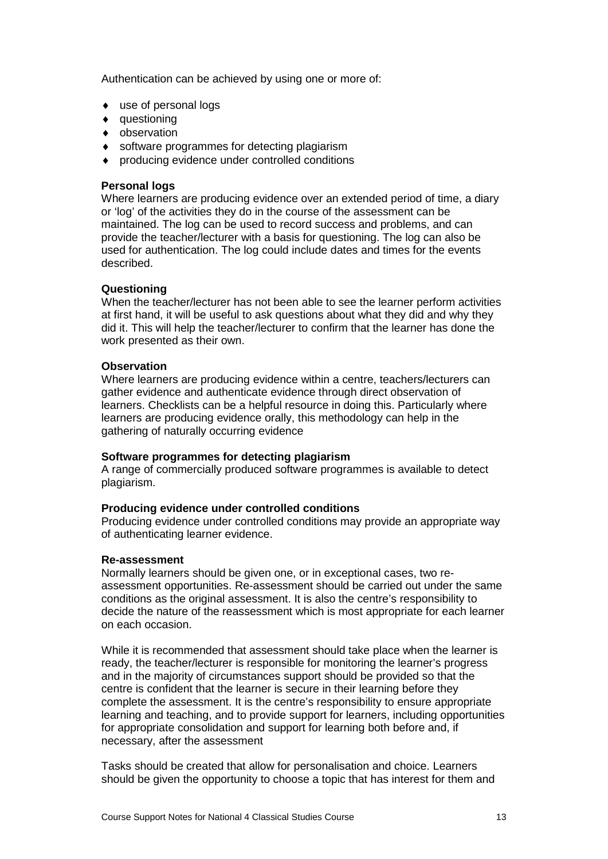Authentication can be achieved by using one or more of:

- ♦ use of personal logs
- ♦ questioning
- ♦ observation
- ♦ software programmes for detecting plagiarism
- ♦ producing evidence under controlled conditions

### **Personal logs**

Where learners are producing evidence over an extended period of time, a diary or 'log' of the activities they do in the course of the assessment can be maintained. The log can be used to record success and problems, and can provide the teacher/lecturer with a basis for questioning. The log can also be used for authentication. The log could include dates and times for the events described.

### **Questioning**

When the teacher/lecturer has not been able to see the learner perform activities at first hand, it will be useful to ask questions about what they did and why they did it. This will help the teacher/lecturer to confirm that the learner has done the work presented as their own.

### **Observation**

Where learners are producing evidence within a centre, teachers/lecturers can gather evidence and authenticate evidence through direct observation of learners. Checklists can be a helpful resource in doing this. Particularly where learners are producing evidence orally, this methodology can help in the gathering of naturally occurring evidence

### **Software programmes for detecting plagiarism**

A range of commercially produced software programmes is available to detect plagiarism.

### **Producing evidence under controlled conditions**

Producing evidence under controlled conditions may provide an appropriate way of authenticating learner evidence.

### **Re-assessment**

Normally learners should be given one, or in exceptional cases, two reassessment opportunities. Re-assessment should be carried out under the same conditions as the original assessment. It is also the centre's responsibility to decide the nature of the reassessment which is most appropriate for each learner on each occasion.

While it is recommended that assessment should take place when the learner is ready, the teacher/lecturer is responsible for monitoring the learner's progress and in the majority of circumstances support should be provided so that the centre is confident that the learner is secure in their learning before they complete the assessment. It is the centre's responsibility to ensure appropriate learning and teaching, and to provide support for learners, including opportunities for appropriate consolidation and support for learning both before and, if necessary, after the assessment

Tasks should be created that allow for personalisation and choice. Learners should be given the opportunity to choose a topic that has interest for them and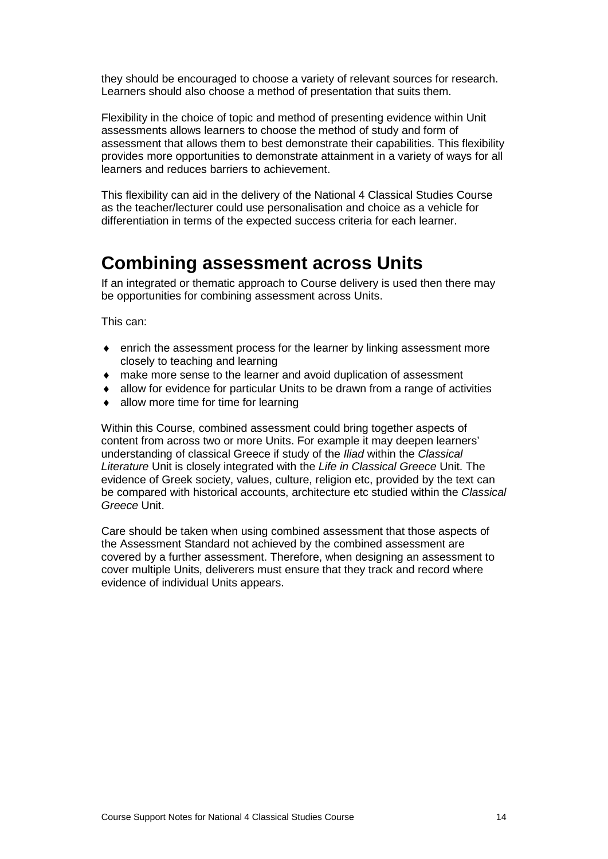they should be encouraged to choose a variety of relevant sources for research. Learners should also choose a method of presentation that suits them.

Flexibility in the choice of topic and method of presenting evidence within Unit assessments allows learners to choose the method of study and form of assessment that allows them to best demonstrate their capabilities. This flexibility provides more opportunities to demonstrate attainment in a variety of ways for all learners and reduces barriers to achievement.

This flexibility can aid in the delivery of the National 4 Classical Studies Course as the teacher/lecturer could use personalisation and choice as a vehicle for differentiation in terms of the expected success criteria for each learner.

### **Combining assessment across Units**

If an integrated or thematic approach to Course delivery is used then there may be opportunities for combining assessment across Units.

This can:

- ♦ enrich the assessment process for the learner by linking assessment more closely to teaching and learning
- ♦ make more sense to the learner and avoid duplication of assessment
- allow for evidence for particular Units to be drawn from a range of activities
- allow more time for time for learning

Within this Course, combined assessment could bring together aspects of content from across two or more Units. For example it may deepen learners' understanding of classical Greece if study of the *Iliad* within the *Classical Literature* Unit is closely integrated with the *Life in Classical Greece* Unit. The evidence of Greek society, values, culture, religion etc, provided by the text can be compared with historical accounts, architecture etc studied within the *Classical Greece* Unit.

Care should be taken when using combined assessment that those aspects of the Assessment Standard not achieved by the combined assessment are covered by a further assessment. Therefore, when designing an assessment to cover multiple Units, deliverers must ensure that they track and record where evidence of individual Units appears.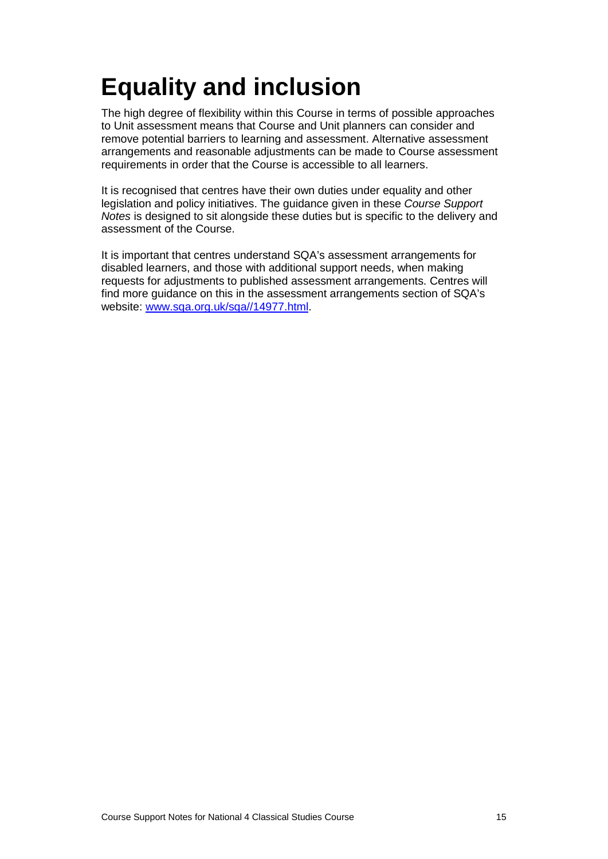# <span id="page-17-0"></span>**Equality and inclusion**

The high degree of flexibility within this Course in terms of possible approaches to Unit assessment means that Course and Unit planners can consider and remove potential barriers to learning and assessment. Alternative assessment arrangements and reasonable adjustments can be made to Course assessment requirements in order that the Course is accessible to all learners.

It is recognised that centres have their own duties under equality and other legislation and policy initiatives. The guidance given in these *Course Support Notes* is designed to sit alongside these duties but is specific to the delivery and assessment of the Course.

It is important that centres understand SQA's assessment arrangements for disabled learners, and those with additional support needs, when making requests for adjustments to published assessment arrangements. Centres will find more guidance on this in the assessment arrangements section of SQA's website: [www.sqa.org.uk/sqa//14977.html.](http://www.sqa.org.uk/sqa/14977.html)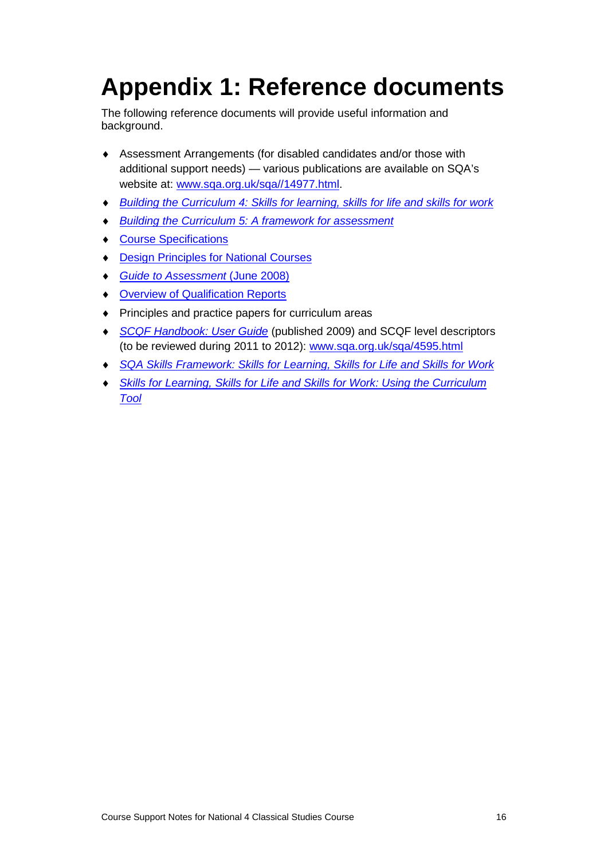# <span id="page-18-0"></span>**Appendix 1: Reference documents**

The following reference documents will provide useful information and background.

- ♦ Assessment Arrangements (for disabled candidates and/or those with additional support needs) — various publications are available on SQA's website at: [www.sqa.org.uk/sqa//14977.html.](http://www.sqa.org.uk/sqa/14977.html)
- ♦ *[Building the Curriculum 4: Skills for learning, skills for life and skills for work](http://www.ltscotland.org.uk/buildingyourcurriculum/policycontext/btc/btc4.asp)*
- **[Building the Curriculum 5: A framework for assessment](http://www.ltscotland.org.uk/buildingyourcurriculum/policycontext/btc/btc5.asp)**
- ♦ [Course Specifications](http://www.sqa.org.uk/sqa/46327.2947.html)
- ♦ [Design Principles for National Courses](http://www.sqa.org.uk/sqa/42135.2629.html)
- ♦ *[Guide to Assessment](http://www.sqa.org.uk/files_ccc/GuideToAssessment.pdf)* (June 2008)
- ♦ [Overview of Qualification Reports](http://www.sqa.org.uk/sqa/42467.2792.html)
- ♦ Principles and practice papers for curriculum areas
- ♦ *[SCQF Handbook: User Guide](http://www.scqf.org.uk/Resources)* (published 2009) and SCQF level descriptors (to be reviewed during 2011 to 2012): [www.sqa.org.uk/sqa/4595.html](http://www.sqa.org.uk/sqa/4595.html)
- ♦ *[SQA Skills Framework: Skills for Learning, Skills for Life and Skills for Work](http://www.sqa.org.uk/sqa/45395.html)*
- ♦ *[Skills for Learning, Skills for Life and Skills for Work: Using the Curriculum](http://www.sqa.org.uk/sqa/45395.html)  [Tool](http://www.sqa.org.uk/sqa/45395.html)*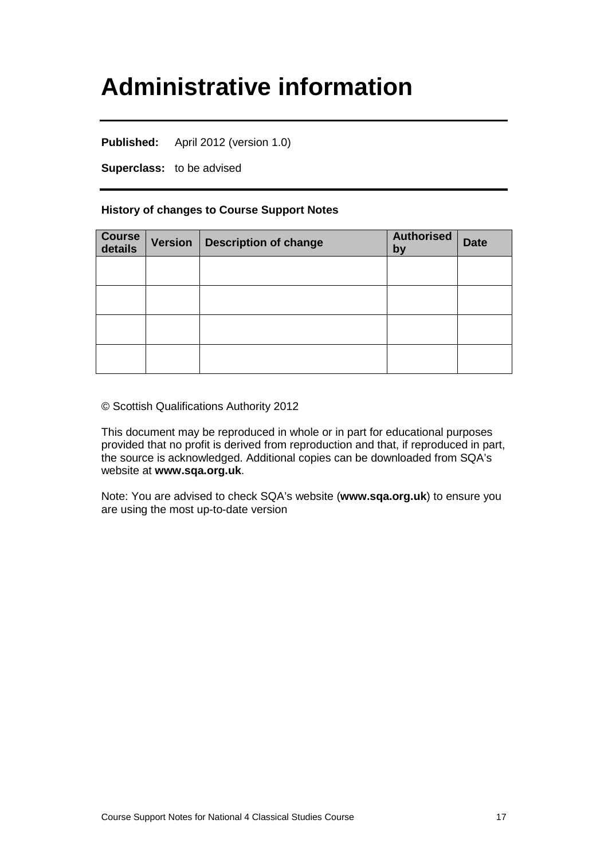## <span id="page-19-0"></span>**Administrative information**

**Published:** April 2012 (version 1.0)

**Superclass:** to be advised

### **History of changes to Course Support Notes**

| <b>Course</b><br>details | Version   Description of change | <b>Authorised</b><br>by | <b>Date</b> |
|--------------------------|---------------------------------|-------------------------|-------------|
|                          |                                 |                         |             |
|                          |                                 |                         |             |
|                          |                                 |                         |             |
|                          |                                 |                         |             |

© Scottish Qualifications Authority 2012

This document may be reproduced in whole or in part for educational purposes provided that no profit is derived from reproduction and that, if reproduced in part, the source is acknowledged. Additional copies can be downloaded from SQA's website at **[www.sqa.org.uk](http://www.sqa.org.uk/)**.

Note: You are advised to check SQA's website (**[www.sqa.org.uk](http://www.sqa.org.uk/)**) to ensure you are using the most up-to-date version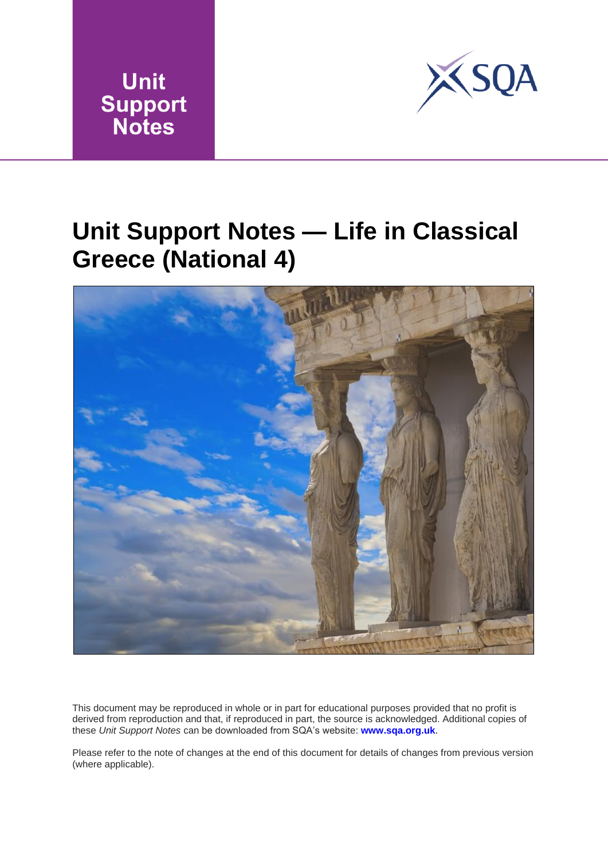



## <span id="page-20-0"></span>**Unit Support Notes — Life in Classical Greece (National 4)**



This document may be reproduced in whole or in [part for educational p](http://www.sqa.org.uk/)urposes provided that no profit is derived from reproduction and that, if reproduced in part, the source is acknowledged. Additional copies of these *Unit Support Notes* can be downloaded from SQA's website: **www.sqa.org.uk**.

Please refer to the note of changes at the end of this document for details of changes from previous version (where applicable).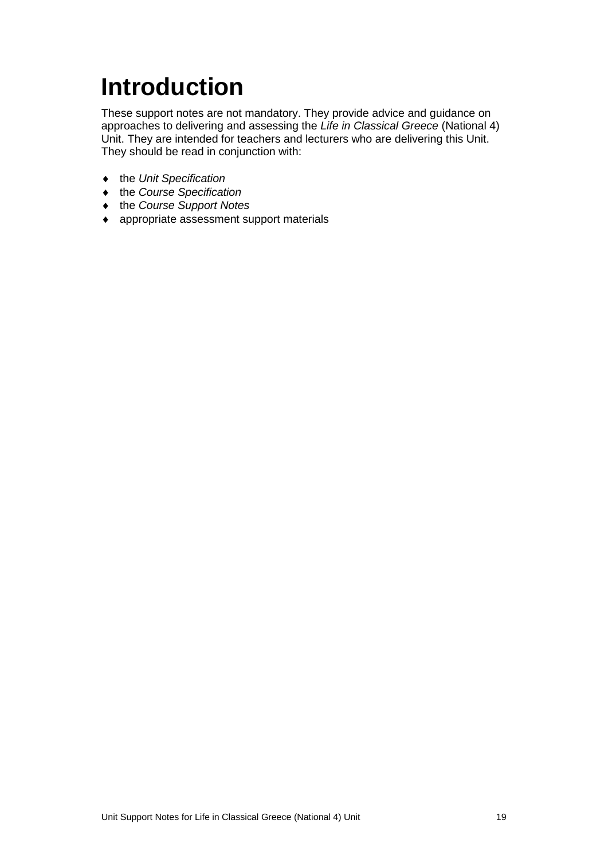# <span id="page-21-0"></span>**Introduction**

These support notes are not mandatory. They provide advice and guidance on approaches to delivering and assessing the *Life in Classical Greece* (National 4) Unit. They are intended for teachers and lecturers who are delivering this Unit. They should be read in conjunction with:

- ♦ the *Unit Specification*
- ♦ the *Course Specification*
- ♦ the *Course Support Notes*
- ♦ appropriate assessment support materials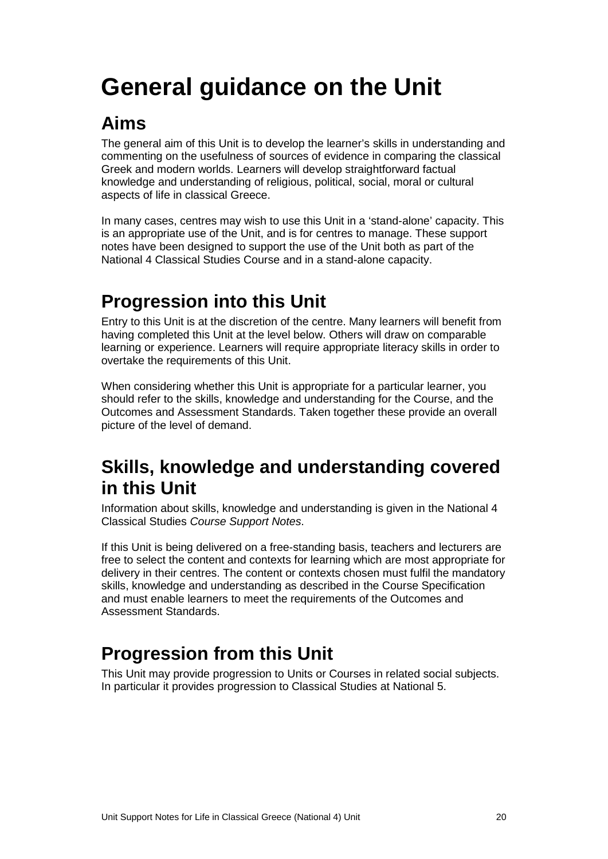# <span id="page-22-0"></span>**General guidance on the Unit**

### **Aims**

The general aim of this Unit is to develop the learner's skills in understanding and commenting on the usefulness of sources of evidence in comparing the classical Greek and modern worlds. Learners will develop straightforward factual knowledge and understanding of religious, political, social, moral or cultural aspects of life in classical Greece.

In many cases, centres may wish to use this Unit in a 'stand-alone' capacity. This is an appropriate use of the Unit, and is for centres to manage. These support notes have been designed to support the use of the Unit both as part of the National 4 Classical Studies Course and in a stand-alone capacity.

### **Progression into this Unit**

Entry to this Unit is at the discretion of the centre. Many learners will benefit from having completed this Unit at the level below. Others will draw on comparable learning or experience. Learners will require appropriate literacy skills in order to overtake the requirements of this Unit.

When considering whether this Unit is appropriate for a particular learner, you should refer to the skills, knowledge and understanding for the Course, and the Outcomes and Assessment Standards. Taken together these provide an overall picture of the level of demand.

### **Skills, knowledge and understanding covered in this Unit**

Information about skills, knowledge and understanding is given in the National 4 Classical Studies *Course Support Notes*.

If this Unit is being delivered on a free-standing basis, teachers and lecturers are free to select the content and contexts for learning which are most appropriate for delivery in their centres. The content or contexts chosen must fulfil the mandatory skills, knowledge and understanding as described in the Course Specification and must enable learners to meet the requirements of the Outcomes and Assessment Standards.

### **Progression from this Unit**

This Unit may provide progression to Units or Courses in related social subjects. In particular it provides progression to Classical Studies at National 5.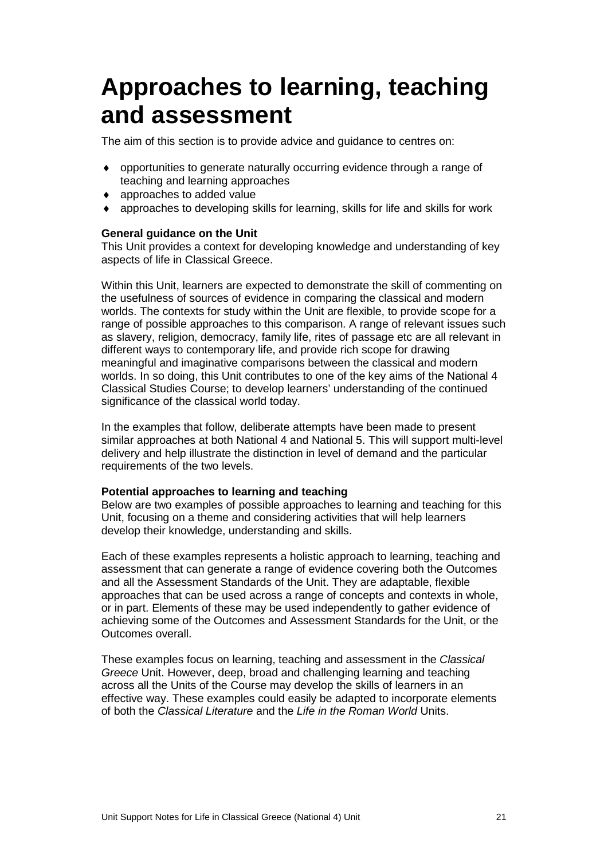## <span id="page-23-0"></span>**Approaches to learning, teaching and assessment**

The aim of this section is to provide advice and guidance to centres on:

- ♦ opportunities to generate naturally occurring evidence through a range of teaching and learning approaches
- ♦ approaches to added value
- $\bullet$  approaches to developing skills for learning, skills for life and skills for work

### **General guidance on the Unit**

This Unit provides a context for developing knowledge and understanding of key aspects of life in Classical Greece.

Within this Unit, learners are expected to demonstrate the skill of commenting on the usefulness of sources of evidence in comparing the classical and modern worlds. The contexts for study within the Unit are flexible, to provide scope for a range of possible approaches to this comparison. A range of relevant issues such as slavery, religion, democracy, family life, rites of passage etc are all relevant in different ways to contemporary life, and provide rich scope for drawing meaningful and imaginative comparisons between the classical and modern worlds. In so doing, this Unit contributes to one of the key aims of the National 4 Classical Studies Course; to develop learners' understanding of the continued significance of the classical world today.

In the examples that follow, deliberate attempts have been made to present similar approaches at both National 4 and National 5. This will support multi-level delivery and help illustrate the distinction in level of demand and the particular requirements of the two levels.

### **Potential approaches to learning and teaching**

Below are two examples of possible approaches to learning and teaching for this Unit, focusing on a theme and considering activities that will help learners develop their knowledge, understanding and skills.

Each of these examples represents a holistic approach to learning, teaching and assessment that can generate a range of evidence covering both the Outcomes and all the Assessment Standards of the Unit. They are adaptable, flexible approaches that can be used across a range of concepts and contexts in whole, or in part. Elements of these may be used independently to gather evidence of achieving some of the Outcomes and Assessment Standards for the Unit, or the Outcomes overall.

These examples focus on learning, teaching and assessment in the *Classical Greece* Unit. However, deep, broad and challenging learning and teaching across all the Units of the Course may develop the skills of learners in an effective way. These examples could easily be adapted to incorporate elements of both the *Classical Literature* and the *Life in the Roman World* Units.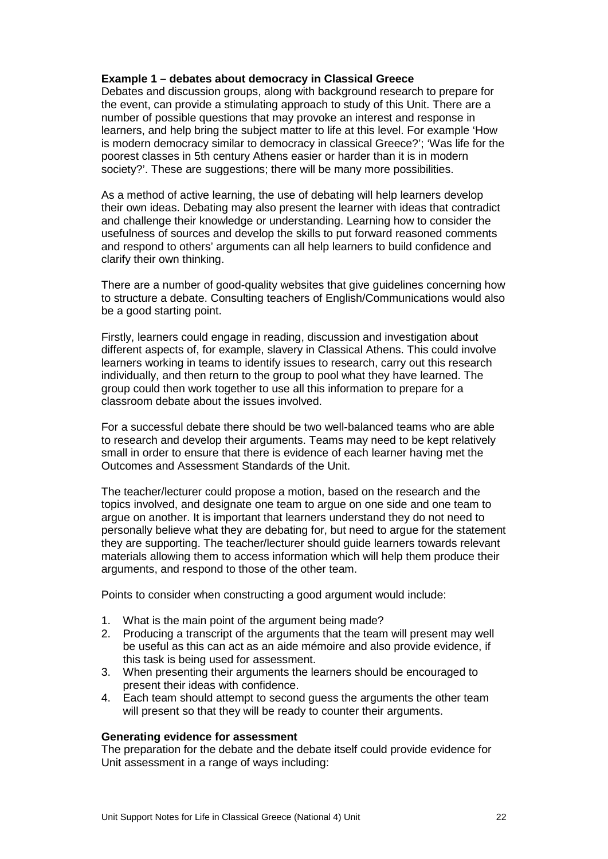### **Example 1 – debates about democracy in Classical Greece**

Debates and discussion groups, along with background research to prepare for the event, can provide a stimulating approach to study of this Unit. There are a number of possible questions that may provoke an interest and response in learners, and help bring the subject matter to life at this level. For example 'How is modern democracy similar to democracy in classical Greece?'; 'Was life for the poorest classes in 5th century Athens easier or harder than it is in modern society?'. These are suggestions; there will be many more possibilities.

As a method of active learning, the use of debating will help learners develop their own ideas. Debating may also present the learner with ideas that contradict and challenge their knowledge or understanding. Learning how to consider the usefulness of sources and develop the skills to put forward reasoned comments and respond to others' arguments can all help learners to build confidence and clarify their own thinking.

There are a number of good-quality websites that give guidelines concerning how to structure a debate. Consulting teachers of English/Communications would also be a good starting point.

Firstly, learners could engage in reading, discussion and investigation about different aspects of, for example, slavery in Classical Athens. This could involve learners working in teams to identify issues to research, carry out this research individually, and then return to the group to pool what they have learned. The group could then work together to use all this information to prepare for a classroom debate about the issues involved.

For a successful debate there should be two well-balanced teams who are able to research and develop their arguments. Teams may need to be kept relatively small in order to ensure that there is evidence of each learner having met the Outcomes and Assessment Standards of the Unit.

The teacher/lecturer could propose a motion, based on the research and the topics involved, and designate one team to argue on one side and one team to argue on another. It is important that learners understand they do not need to personally believe what they are debating for, but need to argue for the statement they are supporting. The teacher/lecturer should guide learners towards relevant materials allowing them to access information which will help them produce their arguments, and respond to those of the other team.

Points to consider when constructing a good argument would include:

- 1. What is the main point of the argument being made?
- 2. Producing a transcript of the arguments that the team will present may well be useful as this can act as an aide mémoire and also provide evidence, if this task is being used for assessment.
- 3. When presenting their arguments the learners should be encouraged to present their ideas with confidence.
- 4. Each team should attempt to second guess the arguments the other team will present so that they will be ready to counter their arguments.

### **Generating evidence for assessment**

The preparation for the debate and the debate itself could provide evidence for Unit assessment in a range of ways including: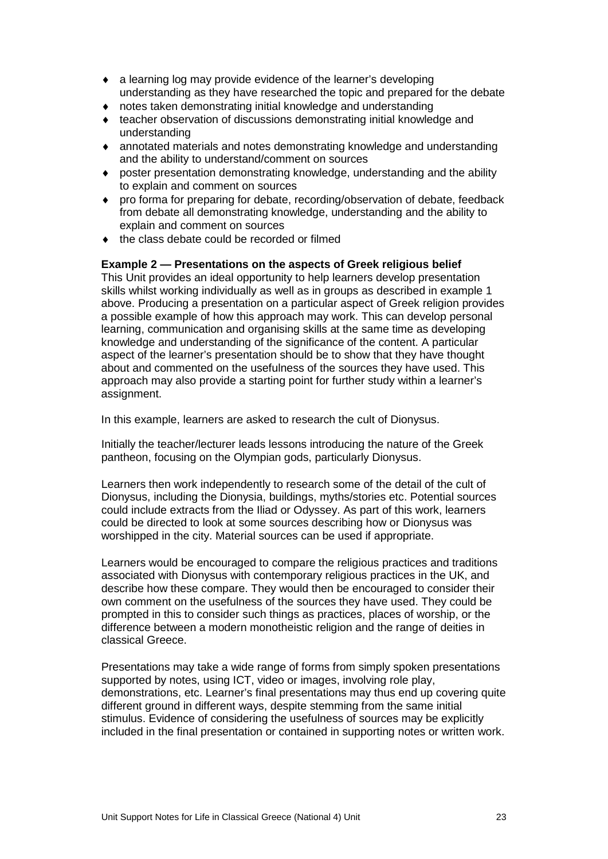- ♦ a learning log may provide evidence of the learner's developing understanding as they have researched the topic and prepared for the debate
- ♦ notes taken demonstrating initial knowledge and understanding
- ♦ teacher observation of discussions demonstrating initial knowledge and understanding
- ♦ annotated materials and notes demonstrating knowledge and understanding and the ability to understand/comment on sources
- ♦ poster presentation demonstrating knowledge, understanding and the ability to explain and comment on sources
- ♦ pro forma for preparing for debate, recording/observation of debate, feedback from debate all demonstrating knowledge, understanding and the ability to explain and comment on sources
- ♦ the class debate could be recorded or filmed

### **Example 2 — Presentations on the aspects of Greek religious belief**

This Unit provides an ideal opportunity to help learners develop presentation skills whilst working individually as well as in groups as described in example 1 above. Producing a presentation on a particular aspect of Greek religion provides a possible example of how this approach may work. This can develop personal learning, communication and organising skills at the same time as developing knowledge and understanding of the significance of the content. A particular aspect of the learner's presentation should be to show that they have thought about and commented on the usefulness of the sources they have used. This approach may also provide a starting point for further study within a learner's assignment.

In this example, learners are asked to research the cult of Dionysus.

Initially the teacher/lecturer leads lessons introducing the nature of the Greek pantheon, focusing on the Olympian gods, particularly Dionysus.

Learners then work independently to research some of the detail of the cult of Dionysus, including the Dionysia, buildings, myths/stories etc. Potential sources could include extracts from the Iliad or Odyssey. As part of this work, learners could be directed to look at some sources describing how or Dionysus was worshipped in the city. Material sources can be used if appropriate.

Learners would be encouraged to compare the religious practices and traditions associated with Dionysus with contemporary religious practices in the UK, and describe how these compare. They would then be encouraged to consider their own comment on the usefulness of the sources they have used. They could be prompted in this to consider such things as practices, places of worship, or the difference between a modern monotheistic religion and the range of deities in classical Greece.

Presentations may take a wide range of forms from simply spoken presentations supported by notes, using ICT, video or images, involving role play, demonstrations, etc. Learner's final presentations may thus end up covering quite different ground in different ways, despite stemming from the same initial stimulus. Evidence of considering the usefulness of sources may be explicitly included in the final presentation or contained in supporting notes or written work.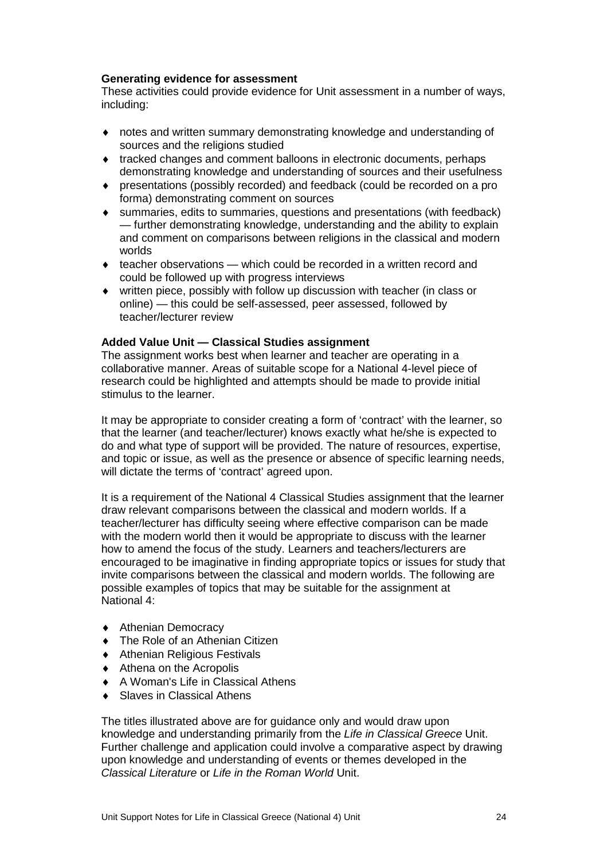### **Generating evidence for assessment**

These activities could provide evidence for Unit assessment in a number of ways, including:

- ♦ notes and written summary demonstrating knowledge and understanding of sources and the religions studied
- ♦ tracked changes and comment balloons in electronic documents, perhaps demonstrating knowledge and understanding of sources and their usefulness
- ♦ presentations (possibly recorded) and feedback (could be recorded on a pro forma) demonstrating comment on sources
- ♦ summaries, edits to summaries, questions and presentations (with feedback) — further demonstrating knowledge, understanding and the ability to explain and comment on comparisons between religions in the classical and modern worlds
- ♦ teacher observations which could be recorded in a written record and could be followed up with progress interviews
- ♦ written piece, possibly with follow up discussion with teacher (in class or online) — this could be self-assessed, peer assessed, followed by teacher/lecturer review

### **Added Value Unit — Classical Studies assignment**

The assignment works best when learner and teacher are operating in a collaborative manner. Areas of suitable scope for a National 4-level piece of research could be highlighted and attempts should be made to provide initial stimulus to the learner.

It may be appropriate to consider creating a form of 'contract' with the learner, so that the learner (and teacher/lecturer) knows exactly what he/she is expected to do and what type of support will be provided. The nature of resources, expertise, and topic or issue, as well as the presence or absence of specific learning needs, will dictate the terms of 'contract' agreed upon.

It is a requirement of the National 4 Classical Studies assignment that the learner draw relevant comparisons between the classical and modern worlds. If a teacher/lecturer has difficulty seeing where effective comparison can be made with the modern world then it would be appropriate to discuss with the learner how to amend the focus of the study. Learners and teachers/lecturers are encouraged to be imaginative in finding appropriate topics or issues for study that invite comparisons between the classical and modern worlds. The following are possible examples of topics that may be suitable for the assignment at National 4:

- ♦ Athenian Democracy
- ♦ The Role of an Athenian Citizen
- ♦ Athenian Religious Festivals
- ♦ Athena on the Acropolis
- ♦ A Woman's Life in Classical Athens
- Slaves in Classical Athens

The titles illustrated above are for guidance only and would draw upon knowledge and understanding primarily from the *Life in Classical Greece* Unit. Further challenge and application could involve a comparative aspect by drawing upon knowledge and understanding of events or themes developed in the *Classical Literature* or *Life in the Roman World* Unit.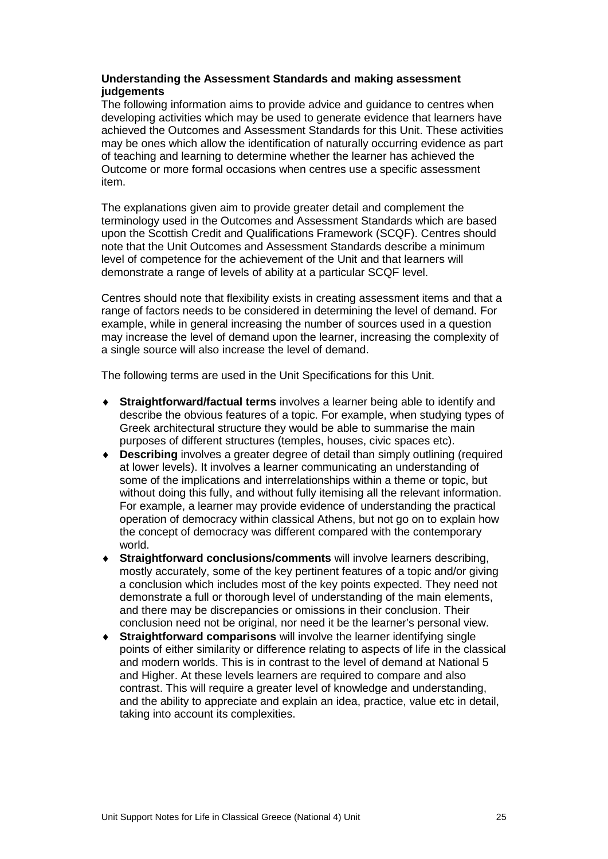### **Understanding the Assessment Standards and making assessment judgements**

The following information aims to provide advice and guidance to centres when developing activities which may be used to generate evidence that learners have achieved the Outcomes and Assessment Standards for this Unit. These activities may be ones which allow the identification of naturally occurring evidence as part of teaching and learning to determine whether the learner has achieved the Outcome or more formal occasions when centres use a specific assessment item.

The explanations given aim to provide greater detail and complement the terminology used in the Outcomes and Assessment Standards which are based upon the Scottish Credit and Qualifications Framework (SCQF). Centres should note that the Unit Outcomes and Assessment Standards describe a minimum level of competence for the achievement of the Unit and that learners will demonstrate a range of levels of ability at a particular SCQF level.

Centres should note that flexibility exists in creating assessment items and that a range of factors needs to be considered in determining the level of demand. For example, while in general increasing the number of sources used in a question may increase the level of demand upon the learner, increasing the complexity of a single source will also increase the level of demand.

The following terms are used in the Unit Specifications for this Unit.

- ♦ **Straightforward/factual terms** involves a learner being able to identify and describe the obvious features of a topic. For example, when studying types of Greek architectural structure they would be able to summarise the main purposes of different structures (temples, houses, civic spaces etc).
- ♦ **Describing** involves a greater degree of detail than simply outlining (required at lower levels). It involves a learner communicating an understanding of some of the implications and interrelationships within a theme or topic, but without doing this fully, and without fully itemising all the relevant information. For example, a learner may provide evidence of understanding the practical operation of democracy within classical Athens, but not go on to explain how the concept of democracy was different compared with the contemporary world.
- **Straightforward conclusions/comments** will involve learners describing, mostly accurately, some of the key pertinent features of a topic and/or giving a conclusion which includes most of the key points expected. They need not demonstrate a full or thorough level of understanding of the main elements, and there may be discrepancies or omissions in their conclusion. Their conclusion need not be original, nor need it be the learner's personal view.
- ♦ **Straightforward comparisons** will involve the learner identifying single points of either similarity or difference relating to aspects of life in the classical and modern worlds. This is in contrast to the level of demand at National 5 and Higher. At these levels learners are required to compare and also contrast. This will require a greater level of knowledge and understanding, and the ability to appreciate and explain an idea, practice, value etc in detail, taking into account its complexities.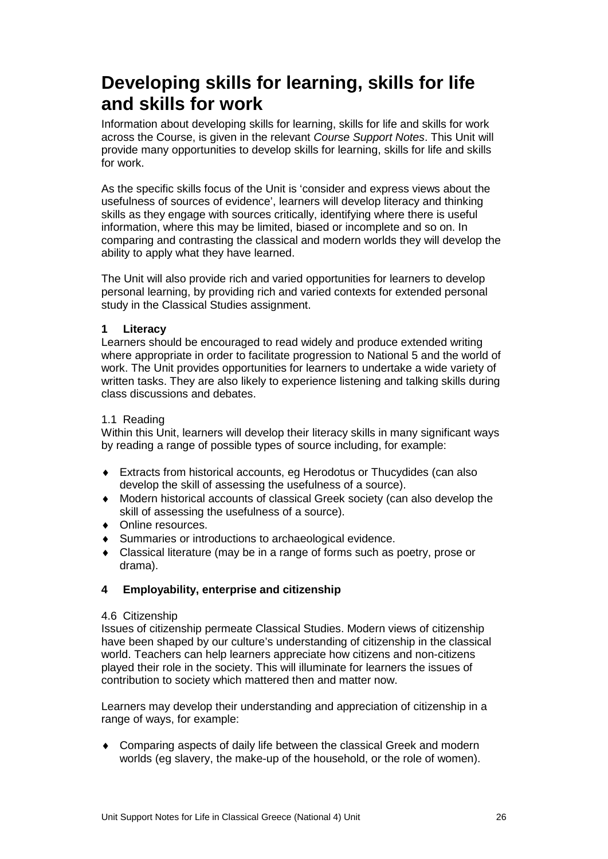### **Developing skills for learning, skills for life and skills for work**

Information about developing skills for learning, skills for life and skills for work across the Course, is given in the relevant *Course Support Notes*. This Unit will provide many opportunities to develop skills for learning, skills for life and skills for work.

As the specific skills focus of the Unit is 'consider and express views about the usefulness of sources of evidence', learners will develop literacy and thinking skills as they engage with sources critically, identifying where there is useful information, where this may be limited, biased or incomplete and so on. In comparing and contrasting the classical and modern worlds they will develop the ability to apply what they have learned.

The Unit will also provide rich and varied opportunities for learners to develop personal learning, by providing rich and varied contexts for extended personal study in the Classical Studies assignment.

### **1 Literacy**

Learners should be encouraged to read widely and produce extended writing where appropriate in order to facilitate progression to National 5 and the world of work. The Unit provides opportunities for learners to undertake a wide variety of written tasks. They are also likely to experience listening and talking skills during class discussions and debates.

### 1.1 Reading

Within this Unit, learners will develop their literacy skills in many significant ways by reading a range of possible types of source including, for example:

- ♦ Extracts from historical accounts, eg Herodotus or Thucydides (can also develop the skill of assessing the usefulness of a source).
- ♦ Modern historical accounts of classical Greek society (can also develop the skill of assessing the usefulness of a source).
- ♦ Online resources.
- ♦ Summaries or introductions to archaeological evidence.
- ♦ Classical literature (may be in a range of forms such as poetry, prose or drama).

### **4 Employability, enterprise and citizenship**

### 4.6 Citizenship

Issues of citizenship permeate Classical Studies. Modern views of citizenship have been shaped by our culture's understanding of citizenship in the classical world. Teachers can help learners appreciate how citizens and non-citizens played their role in the society. This will illuminate for learners the issues of contribution to society which mattered then and matter now.

Learners may develop their understanding and appreciation of citizenship in a range of ways, for example:

♦ Comparing aspects of daily life between the classical Greek and modern worlds (eg slavery, the make-up of the household, or the role of women).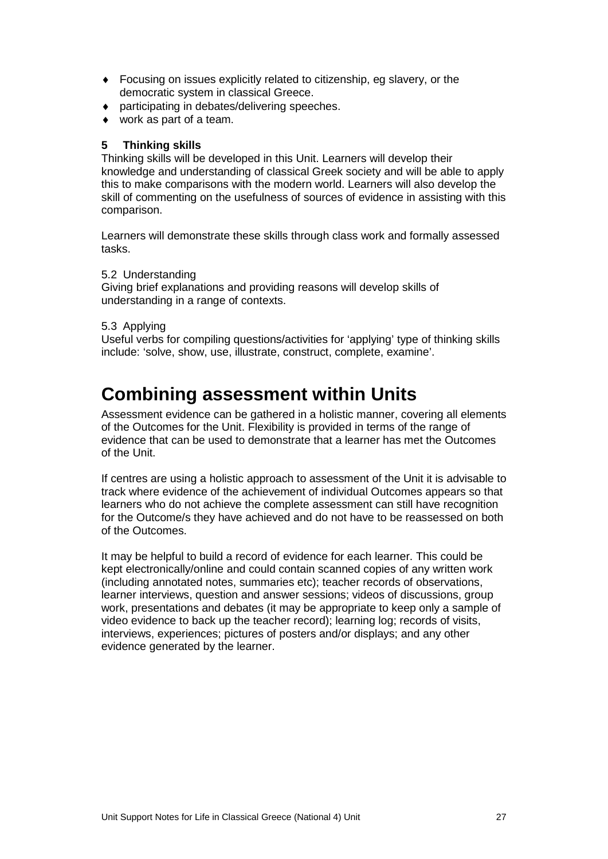- ♦ Focusing on issues explicitly related to citizenship, eg slavery, or the democratic system in classical Greece.
- ♦ participating in debates/delivering speeches.
- work as part of a team.

### **5 Thinking skills**

Thinking skills will be developed in this Unit. Learners will develop their knowledge and understanding of classical Greek society and will be able to apply this to make comparisons with the modern world. Learners will also develop the skill of commenting on the usefulness of sources of evidence in assisting with this comparison.

Learners will demonstrate these skills through class work and formally assessed tasks.

### 5.2 Understanding

Giving brief explanations and providing reasons will develop skills of understanding in a range of contexts.

### 5.3 Applying

Useful verbs for compiling questions/activities for 'applying' type of thinking skills include: 'solve, show, use, illustrate, construct, complete, examine'.

### **Combining assessment within Units**

Assessment evidence can be gathered in a holistic manner, covering all elements of the Outcomes for the Unit. Flexibility is provided in terms of the range of evidence that can be used to demonstrate that a learner has met the Outcomes of the Unit.

If centres are using a holistic approach to assessment of the Unit it is advisable to track where evidence of the achievement of individual Outcomes appears so that learners who do not achieve the complete assessment can still have recognition for the Outcome/s they have achieved and do not have to be reassessed on both of the Outcomes.

It may be helpful to build a record of evidence for each learner. This could be kept electronically/online and could contain scanned copies of any written work (including annotated notes, summaries etc); teacher records of observations, learner interviews, question and answer sessions; videos of discussions, group work, presentations and debates (it may be appropriate to keep only a sample of video evidence to back up the teacher record); learning log; records of visits, interviews, experiences; pictures of posters and/or displays; and any other evidence generated by the learner.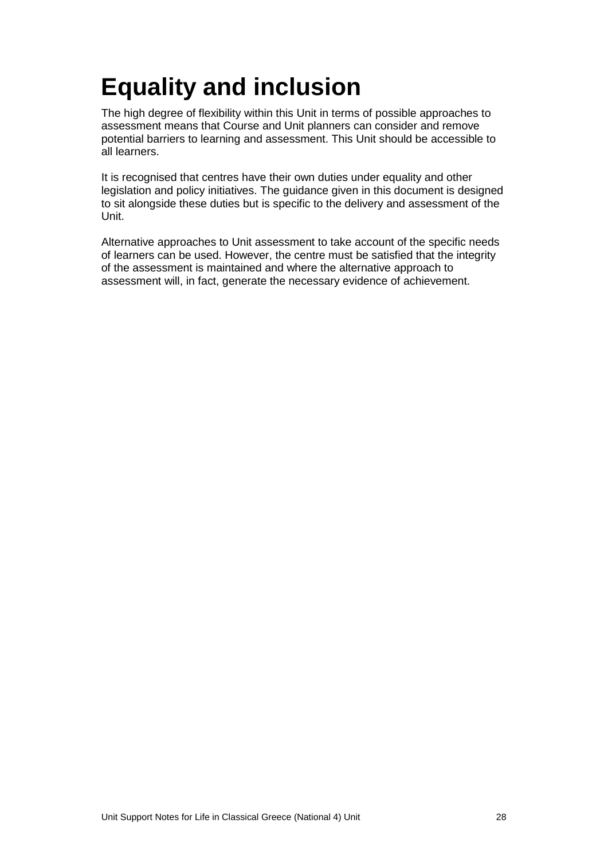# <span id="page-30-0"></span>**Equality and inclusion**

The high degree of flexibility within this Unit in terms of possible approaches to assessment means that Course and Unit planners can consider and remove potential barriers to learning and assessment. This Unit should be accessible to all learners.

It is recognised that centres have their own duties under equality and other legislation and policy initiatives. The guidance given in this document is designed to sit alongside these duties but is specific to the delivery and assessment of the Unit.

Alternative approaches to Unit assessment to take account of the specific needs of learners can be used. However, the centre must be satisfied that the integrity of the assessment is maintained and where the alternative approach to assessment will, in fact, generate the necessary evidence of achievement.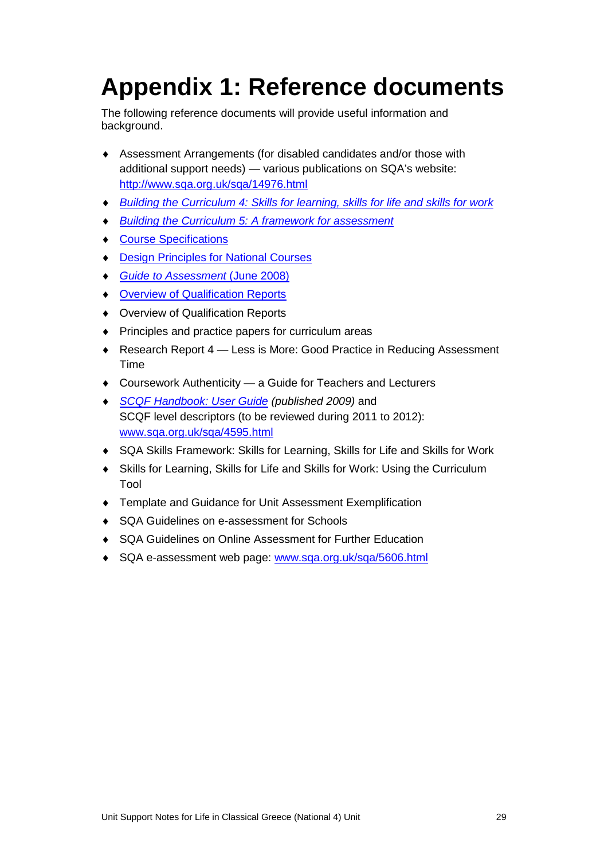# <span id="page-31-0"></span>**Appendix 1: Reference documents**

The following reference documents will provide useful information and background.

- ♦ Assessment Arrangements (for disabled candidates and/or those with additional support needs) — various publications on SQA's website: <http://www.sqa.org.uk/sqa/14976.html>
- ♦ *[Building the Curriculum 4: Skills for learning, skills for life and skills for work](http://www.ltscotland.org.uk/buildingyourcurriculum/policycontext/btc/btc4.asp)*
- *[Building the Curriculum 5: A framework for assessment](http://www.ltscotland.org.uk/buildingyourcurriculum/policycontext/btc/btc5.asp)*
- ♦ [Course Specifications](http://www.sqa.org.uk/sqa/46327.2947.html)
- **[Design Principles for National Courses](http://www.sqa.org.uk/sqa/42135.2629.html)**
- ♦ *[Guide to Assessment](http://www.sqa.org.uk/files_ccc/GuideToAssessment.pdf)* (June 2008)
- ♦ [Overview of Qualification Reports](http://www.sqa.org.uk/sqa/42467.2792.html)
- ♦ Overview of Qualification Reports
- ♦ Principles and practice papers for curriculum areas
- ◆ Research Report 4 Less is More: Good Practice in Reducing Assessment Time
- ♦ Coursework Authenticity a Guide for Teachers and Lecturers
- **[SCQF Handbook: User Guide](http://www.scqf.org.uk/Resources) (published 2009) and** SCQF level descriptors (to be reviewed during 2011 to 2012): [www.sqa.org.uk/sqa/4595.html](http://www.sqa.org.uk/sqa/4595.html)
- ♦ [SQA Skills Framework: Skills for Learning, Skills for Life and Skills for Work](http://www.sqa.org.uk/sqa/45395.html)
- ♦ [Skills for Learning, Skills for Life and Skills for Work: Using the Curriculum](http://www.sqa.org.uk/sqa/45395.html)  [Tool](http://www.sqa.org.uk/sqa/45395.html)
- ♦ Template and Guidance for Unit Assessment Exemplification
- ♦ SQA Guidelines on e-assessment for Schools
- ♦ SQA Guidelines on Online Assessment for Further Education
- SQA e-assessment web page: [www.sqa.org.uk/sqa/5606.html](http://www.sqa.org.uk/sqa/5606.html)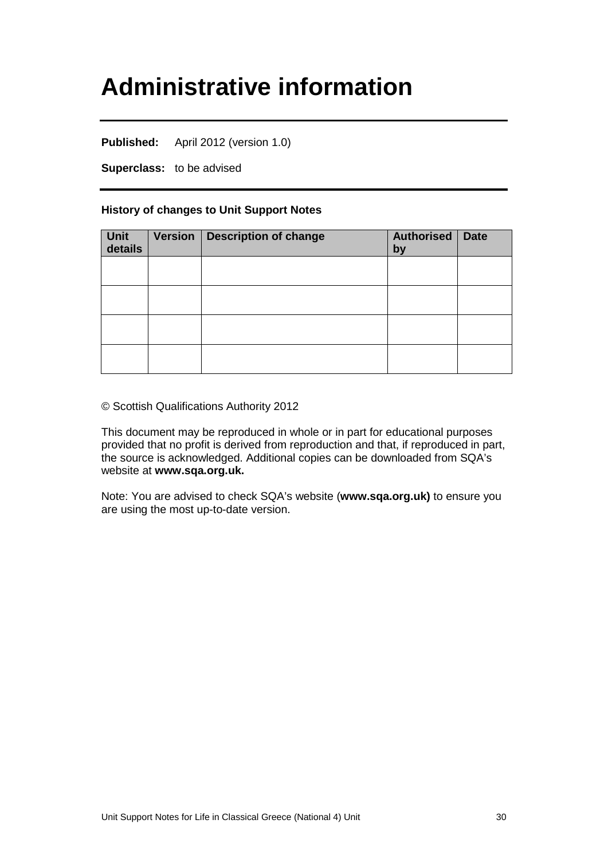## <span id="page-32-0"></span>**Administrative information**

**Published:** April 2012 (version 1.0)

**Superclass:** to be advised

### **History of changes to Unit Support Notes**

| Unit<br>details | Version   Description of change | <b>Authorised</b><br>by | <b>Date</b> |
|-----------------|---------------------------------|-------------------------|-------------|
|                 |                                 |                         |             |
|                 |                                 |                         |             |
|                 |                                 |                         |             |
|                 |                                 |                         |             |

© Scottish Qualifications Authority 2012

This document may be reproduced in whole or in part for educational purposes provided that no profit is derived from reproduction and that, if reproduced in part, the source is acknowledged. Additional copies can be downloaded from SQA's website at **[www.sqa.org.uk.](http://www.sqa.org.uk/)** 

Note: You are advised to check SQA's website (**[www.sqa.org.uk\)](http://www.sqa.org.uk/)** to ensure you are using the most up-to-date version.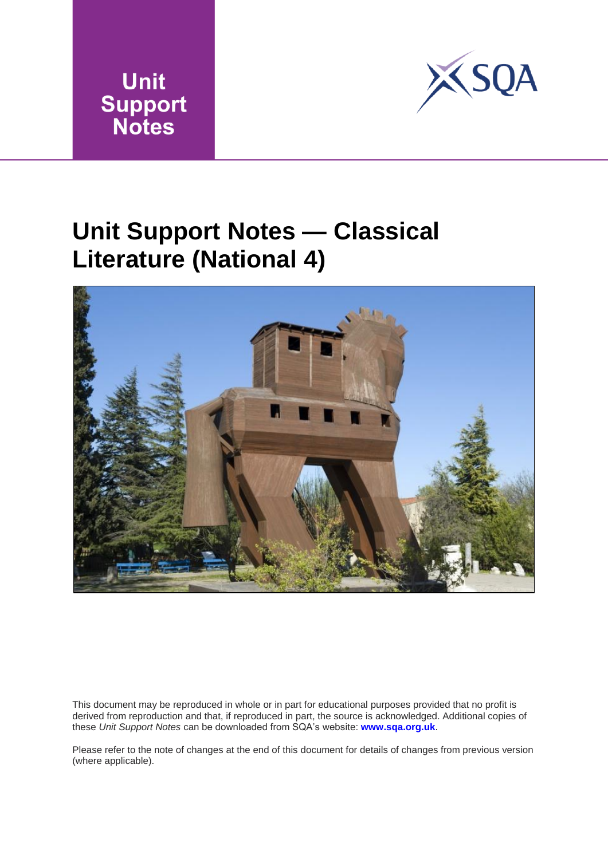



## <span id="page-33-0"></span>**Unit Support Notes — Classical Literature (National 4)**



This document may be reproduced in whole or in part for educational purposes provided that no profit is derived from reproduction and that, if reproduced in part, the source is acknowledged. Additional copies of these *Unit Support Notes* can be downloaded from SQA's website: **www.sqa.org.uk**.

Please refer to the note of changes at the end of this document for details of changes from previous version (where applicable).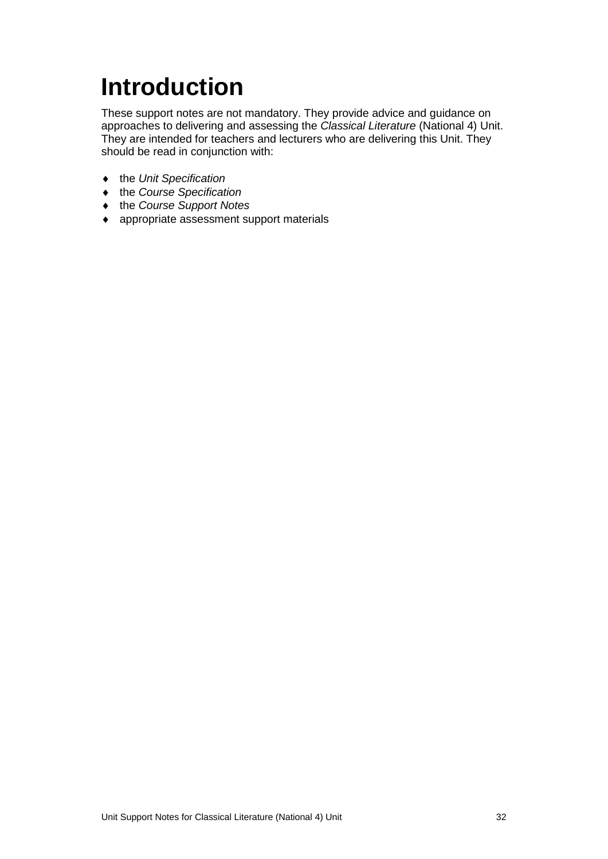# <span id="page-34-0"></span>**Introduction**

These support notes are not mandatory. They provide advice and guidance on approaches to delivering and assessing the *Classical Literature* (National 4) Unit. They are intended for teachers and lecturers who are delivering this Unit. They should be read in conjunction with:

- ♦ the *Unit Specification*
- ♦ the *Course Specification*
- ♦ the *Course Support Notes*
- ♦ appropriate assessment support materials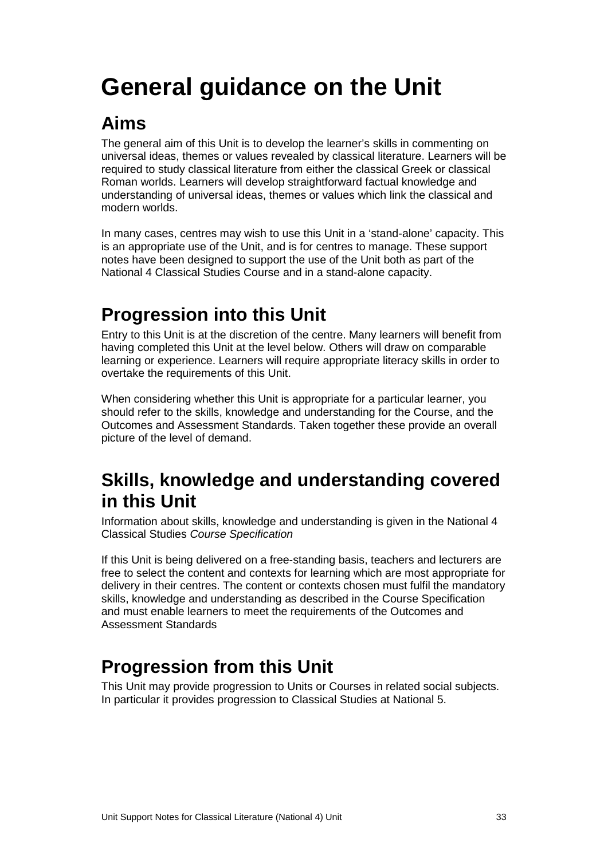# <span id="page-35-0"></span>**General guidance on the Unit**

### **Aims**

The general aim of this Unit is to develop the learner's skills in commenting on universal ideas, themes or values revealed by classical literature. Learners will be required to study classical literature from either the classical Greek or classical Roman worlds. Learners will develop straightforward factual knowledge and understanding of universal ideas, themes or values which link the classical and modern worlds.

In many cases, centres may wish to use this Unit in a 'stand-alone' capacity. This is an appropriate use of the Unit, and is for centres to manage. These support notes have been designed to support the use of the Unit both as part of the National 4 Classical Studies Course and in a stand-alone capacity.

### **Progression into this Unit**

Entry to this Unit is at the discretion of the centre. Many learners will benefit from having completed this Unit at the level below. Others will draw on comparable learning or experience. Learners will require appropriate literacy skills in order to overtake the requirements of this Unit.

When considering whether this Unit is appropriate for a particular learner, you should refer to the skills, knowledge and understanding for the Course, and the Outcomes and Assessment Standards. Taken together these provide an overall picture of the level of demand.

### **Skills, knowledge and understanding covered in this Unit**

Information about skills, knowledge and understanding is given in the National 4 Classical Studies *Course Specification* 

If this Unit is being delivered on a free-standing basis, teachers and lecturers are free to select the content and contexts for learning which are most appropriate for delivery in their centres. The content or contexts chosen must fulfil the mandatory skills, knowledge and understanding as described in the Course Specification and must enable learners to meet the requirements of the Outcomes and Assessment Standards

### **Progression from this Unit**

This Unit may provide progression to Units or Courses in related social subjects. In particular it provides progression to Classical Studies at National 5.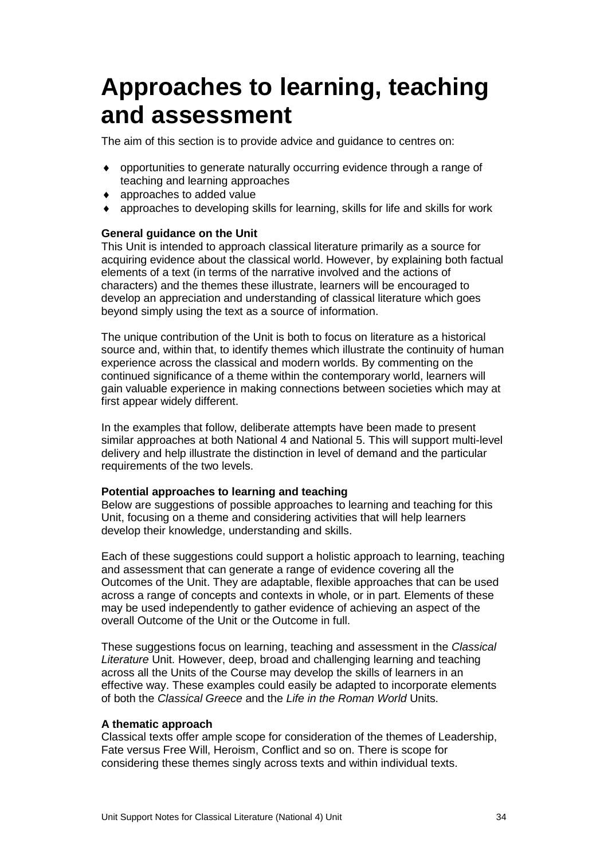## <span id="page-36-0"></span>**Approaches to learning, teaching and assessment**

The aim of this section is to provide advice and guidance to centres on:

- ♦ opportunities to generate naturally occurring evidence through a range of teaching and learning approaches
- ♦ approaches to added value
- ♦ approaches to developing skills for learning, skills for life and skills for work

### **General guidance on the Unit**

This Unit is intended to approach classical literature primarily as a source for acquiring evidence about the classical world. However, by explaining both factual elements of a text (in terms of the narrative involved and the actions of characters) and the themes these illustrate, learners will be encouraged to develop an appreciation and understanding of classical literature which goes beyond simply using the text as a source of information.

The unique contribution of the Unit is both to focus on literature as a historical source and, within that, to identify themes which illustrate the continuity of human experience across the classical and modern worlds. By commenting on the continued significance of a theme within the contemporary world, learners will gain valuable experience in making connections between societies which may at first appear widely different.

In the examples that follow, deliberate attempts have been made to present similar approaches at both National 4 and National 5. This will support multi-level delivery and help illustrate the distinction in level of demand and the particular requirements of the two levels.

### **Potential approaches to learning and teaching**

Below are suggestions of possible approaches to learning and teaching for this Unit, focusing on a theme and considering activities that will help learners develop their knowledge, understanding and skills.

Each of these suggestions could support a holistic approach to learning, teaching and assessment that can generate a range of evidence covering all the Outcomes of the Unit. They are adaptable, flexible approaches that can be used across a range of concepts and contexts in whole, or in part. Elements of these may be used independently to gather evidence of achieving an aspect of the overall Outcome of the Unit or the Outcome in full.

These suggestions focus on learning, teaching and assessment in the *Classical Literature* Unit. However, deep, broad and challenging learning and teaching across all the Units of the Course may develop the skills of learners in an effective way. These examples could easily be adapted to incorporate elements of both the *Classical Greece* and the *Life in the Roman World* Units.

### **A thematic approach**

Classical texts offer ample scope for consideration of the themes of Leadership, Fate versus Free Will, Heroism, Conflict and so on. There is scope for considering these themes singly across texts and within individual texts.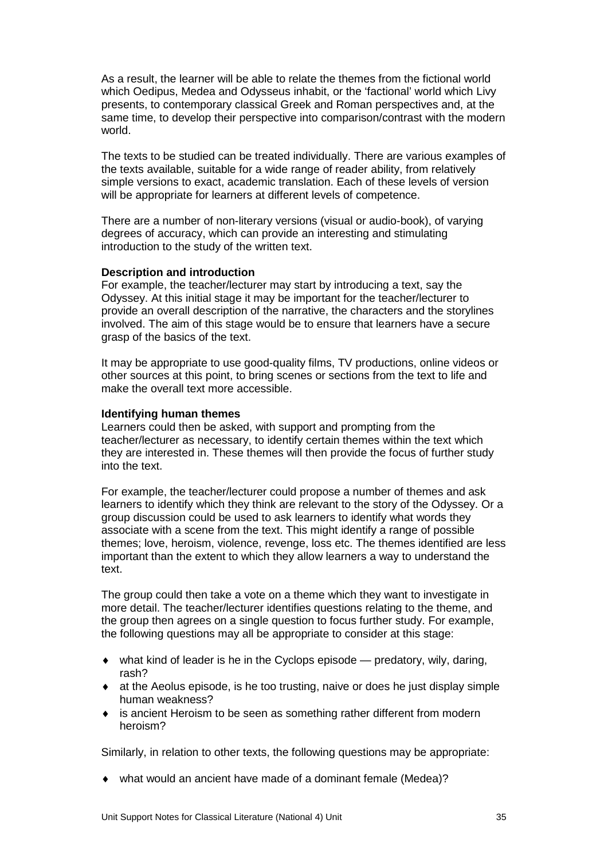As a result, the learner will be able to relate the themes from the fictional world which Oedipus, Medea and Odysseus inhabit, or the 'factional' world which Livy presents, to contemporary classical Greek and Roman perspectives and, at the same time, to develop their perspective into comparison/contrast with the modern world.

The texts to be studied can be treated individually. There are various examples of the texts available, suitable for a wide range of reader ability, from relatively simple versions to exact, academic translation. Each of these levels of version will be appropriate for learners at different levels of competence.

There are a number of non-literary versions (visual or audio-book), of varying degrees of accuracy, which can provide an interesting and stimulating introduction to the study of the written text.

#### **Description and introduction**

For example, the teacher/lecturer may start by introducing a text, say the Odyssey. At this initial stage it may be important for the teacher/lecturer to provide an overall description of the narrative, the characters and the storylines involved. The aim of this stage would be to ensure that learners have a secure grasp of the basics of the text.

It may be appropriate to use good-quality films, TV productions, online videos or other sources at this point, to bring scenes or sections from the text to life and make the overall text more accessible.

#### **Identifying human themes**

Learners could then be asked, with support and prompting from the teacher/lecturer as necessary, to identify certain themes within the text which they are interested in. These themes will then provide the focus of further study into the text.

For example, the teacher/lecturer could propose a number of themes and ask learners to identify which they think are relevant to the story of the Odyssey. Or a group discussion could be used to ask learners to identify what words they associate with a scene from the text. This might identify a range of possible themes; love, heroism, violence, revenge, loss etc. The themes identified are less important than the extent to which they allow learners a way to understand the text.

The group could then take a vote on a theme which they want to investigate in more detail. The teacher/lecturer identifies questions relating to the theme, and the group then agrees on a single question to focus further study. For example, the following questions may all be appropriate to consider at this stage:

- ♦ what kind of leader is he in the Cyclops episode predatory, wily, daring, rash?
- ♦ at the Aeolus episode, is he too trusting, naive or does he just display simple human weakness?
- ♦ is ancient Heroism to be seen as something rather different from modern heroism?

Similarly, in relation to other texts, the following questions may be appropriate:

♦ what would an ancient have made of a dominant female (Medea)?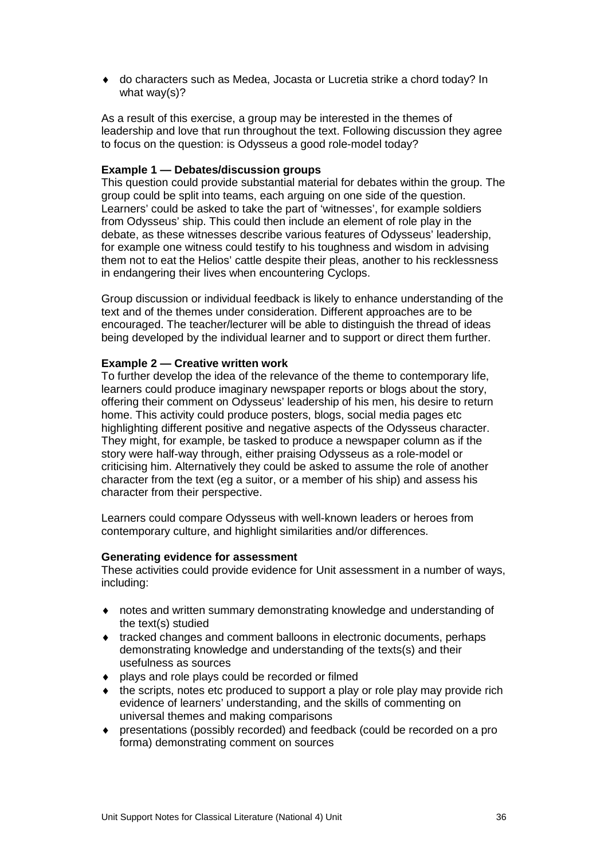♦ do characters such as Medea, Jocasta or Lucretia strike a chord today? In what way(s)?

As a result of this exercise, a group may be interested in the themes of leadership and love that run throughout the text. Following discussion they agree to focus on the question: is Odysseus a good role-model today?

### **Example 1 — Debates/discussion groups**

This question could provide substantial material for debates within the group. The group could be split into teams, each arguing on one side of the question. Learners' could be asked to take the part of 'witnesses', for example soldiers from Odysseus' ship. This could then include an element of role play in the debate, as these witnesses describe various features of Odysseus' leadership, for example one witness could testify to his toughness and wisdom in advising them not to eat the Helios' cattle despite their pleas, another to his recklessness in endangering their lives when encountering Cyclops.

Group discussion or individual feedback is likely to enhance understanding of the text and of the themes under consideration. Different approaches are to be encouraged. The teacher/lecturer will be able to distinguish the thread of ideas being developed by the individual learner and to support or direct them further.

### **Example 2 — Creative written work**

To further develop the idea of the relevance of the theme to contemporary life, learners could produce imaginary newspaper reports or blogs about the story, offering their comment on Odysseus' leadership of his men, his desire to return home. This activity could produce posters, blogs, social media pages etc highlighting different positive and negative aspects of the Odysseus character. They might, for example, be tasked to produce a newspaper column as if the story were half-way through, either praising Odysseus as a role-model or criticising him. Alternatively they could be asked to assume the role of another character from the text (eg a suitor, or a member of his ship) and assess his character from their perspective.

Learners could compare Odysseus with well-known leaders or heroes from contemporary culture, and highlight similarities and/or differences.

### **Generating evidence for assessment**

These activities could provide evidence for Unit assessment in a number of ways, including:

- ♦ notes and written summary demonstrating knowledge and understanding of the text(s) studied
- ♦ tracked changes and comment balloons in electronic documents, perhaps demonstrating knowledge and understanding of the texts(s) and their usefulness as sources
- ♦ plays and role plays could be recorded or filmed
- ♦ the scripts, notes etc produced to support a play or role play may provide rich evidence of learners' understanding, and the skills of commenting on universal themes and making comparisons
- ♦ presentations (possibly recorded) and feedback (could be recorded on a pro forma) demonstrating comment on sources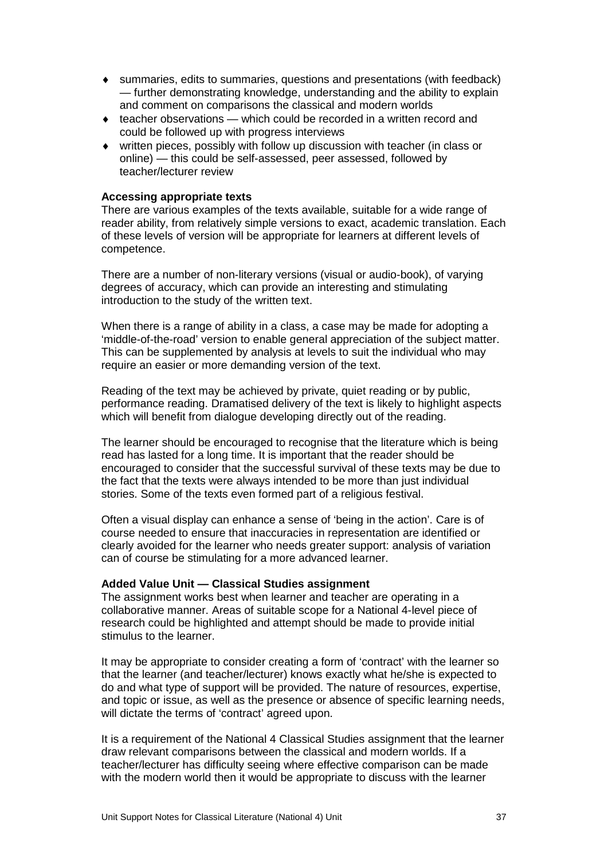- ♦ summaries, edits to summaries, questions and presentations (with feedback) — further demonstrating knowledge, understanding and the ability to explain and comment on comparisons the classical and modern worlds
- $\bullet$  teacher observations which could be recorded in a written record and could be followed up with progress interviews
- ♦ written pieces, possibly with follow up discussion with teacher (in class or online) — this could be self-assessed, peer assessed, followed by teacher/lecturer review

### **Accessing appropriate texts**

There are various examples of the texts available, suitable for a wide range of reader ability, from relatively simple versions to exact, academic translation. Each of these levels of version will be appropriate for learners at different levels of competence.

There are a number of non-literary versions (visual or audio-book), of varying degrees of accuracy, which can provide an interesting and stimulating introduction to the study of the written text.

When there is a range of ability in a class, a case may be made for adopting a 'middle-of-the-road' version to enable general appreciation of the subject matter. This can be supplemented by analysis at levels to suit the individual who may require an easier or more demanding version of the text.

Reading of the text may be achieved by private, quiet reading or by public, performance reading. Dramatised delivery of the text is likely to highlight aspects which will benefit from dialogue developing directly out of the reading.

The learner should be encouraged to recognise that the literature which is being read has lasted for a long time. It is important that the reader should be encouraged to consider that the successful survival of these texts may be due to the fact that the texts were always intended to be more than just individual stories. Some of the texts even formed part of a religious festival.

Often a visual display can enhance a sense of 'being in the action'. Care is of course needed to ensure that inaccuracies in representation are identified or clearly avoided for the learner who needs greater support: analysis of variation can of course be stimulating for a more advanced learner.

### **Added Value Unit — Classical Studies assignment**

The assignment works best when learner and teacher are operating in a collaborative manner. Areas of suitable scope for a National 4-level piece of research could be highlighted and attempt should be made to provide initial stimulus to the learner.

It may be appropriate to consider creating a form of 'contract' with the learner so that the learner (and teacher/lecturer) knows exactly what he/she is expected to do and what type of support will be provided. The nature of resources, expertise, and topic or issue, as well as the presence or absence of specific learning needs, will dictate the terms of 'contract' agreed upon.

It is a requirement of the National 4 Classical Studies assignment that the learner draw relevant comparisons between the classical and modern worlds. If a teacher/lecturer has difficulty seeing where effective comparison can be made with the modern world then it would be appropriate to discuss with the learner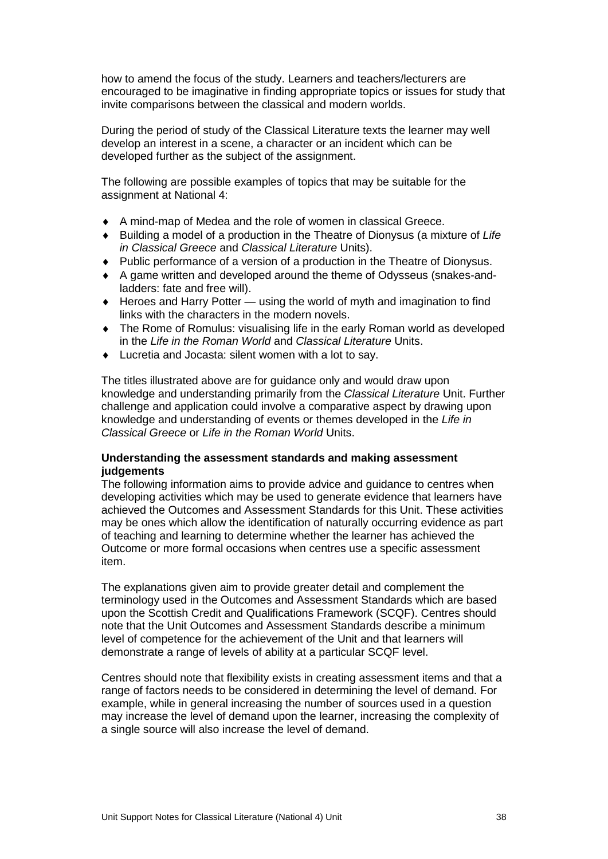how to amend the focus of the study. Learners and teachers/lecturers are encouraged to be imaginative in finding appropriate topics or issues for study that invite comparisons between the classical and modern worlds.

During the period of study of the Classical Literature texts the learner may well develop an interest in a scene, a character or an incident which can be developed further as the subject of the assignment.

The following are possible examples of topics that may be suitable for the assignment at National 4:

- ♦ A mind-map of Medea and the role of women in classical Greece.
- ♦ Building a model of a production in the Theatre of Dionysus (a mixture of *Life in Classical Greece* and *Classical Literature* Units).
- ♦ Public performance of a version of a production in the Theatre of Dionysus.
- ♦ A game written and developed around the theme of Odysseus (snakes-andladders: fate and free will).
- ♦ Heroes and Harry Potter using the world of myth and imagination to find links with the characters in the modern novels.
- ♦ The Rome of Romulus: visualising life in the early Roman world as developed in the *Life in the Roman World* and *Classical Literature* Units.
- ♦ Lucretia and Jocasta: silent women with a lot to say.

The titles illustrated above are for guidance only and would draw upon knowledge and understanding primarily from the *Classical Literature* Unit. Further challenge and application could involve a comparative aspect by drawing upon knowledge and understanding of events or themes developed in the *Life in Classical Greece* or *Life in the Roman World* Units.

### **Understanding the assessment standards and making assessment judgements**

The following information aims to provide advice and guidance to centres when developing activities which may be used to generate evidence that learners have achieved the Outcomes and Assessment Standards for this Unit. These activities may be ones which allow the identification of naturally occurring evidence as part of teaching and learning to determine whether the learner has achieved the Outcome or more formal occasions when centres use a specific assessment item.

The explanations given aim to provide greater detail and complement the terminology used in the Outcomes and Assessment Standards which are based upon the Scottish Credit and Qualifications Framework (SCQF). Centres should note that the Unit Outcomes and Assessment Standards describe a minimum level of competence for the achievement of the Unit and that learners will demonstrate a range of levels of ability at a particular SCQF level.

Centres should note that flexibility exists in creating assessment items and that a range of factors needs to be considered in determining the level of demand. For example, while in general increasing the number of sources used in a question may increase the level of demand upon the learner, increasing the complexity of a single source will also increase the level of demand.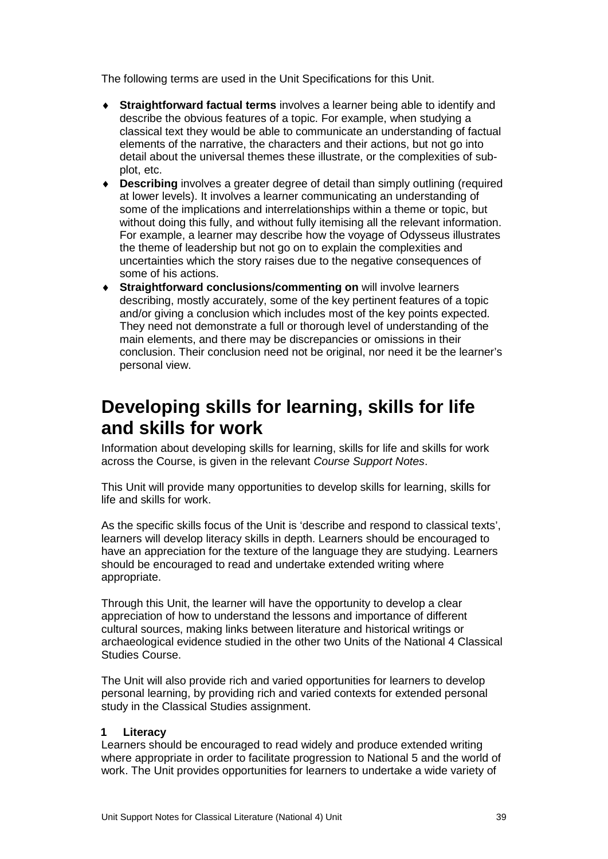The following terms are used in the Unit Specifications for this Unit.

- ♦ **Straightforward factual terms** involves a learner being able to identify and describe the obvious features of a topic. For example, when studying a classical text they would be able to communicate an understanding of factual elements of the narrative, the characters and their actions, but not go into detail about the universal themes these illustrate, or the complexities of subplot, etc.
- ♦ **Describing** involves a greater degree of detail than simply outlining (required at lower levels). It involves a learner communicating an understanding of some of the implications and interrelationships within a theme or topic, but without doing this fully, and without fully itemising all the relevant information. For example, a learner may describe how the voyage of Odysseus illustrates the theme of leadership but not go on to explain the complexities and uncertainties which the story raises due to the negative consequences of some of his actions.
- **Straightforward conclusions/commenting on** will involve learners describing, mostly accurately, some of the key pertinent features of a topic and/or giving a conclusion which includes most of the key points expected. They need not demonstrate a full or thorough level of understanding of the main elements, and there may be discrepancies or omissions in their conclusion. Their conclusion need not be original, nor need it be the learner's personal view.

### **Developing skills for learning, skills for life and skills for work**

Information about developing skills for learning, skills for life and skills for work across the Course, is given in the relevant *Course Support Notes*.

This Unit will provide many opportunities to develop skills for learning, skills for life and skills for work.

As the specific skills focus of the Unit is 'describe and respond to classical texts', learners will develop literacy skills in depth. Learners should be encouraged to have an appreciation for the texture of the language they are studying. Learners should be encouraged to read and undertake extended writing where appropriate.

Through this Unit, the learner will have the opportunity to develop a clear appreciation of how to understand the lessons and importance of different cultural sources, making links between literature and historical writings or archaeological evidence studied in the other two Units of the National 4 Classical Studies Course.

The Unit will also provide rich and varied opportunities for learners to develop personal learning, by providing rich and varied contexts for extended personal study in the Classical Studies assignment.

### **1 Literacy**

Learners should be encouraged to read widely and produce extended writing where appropriate in order to facilitate progression to National 5 and the world of work. The Unit provides opportunities for learners to undertake a wide variety of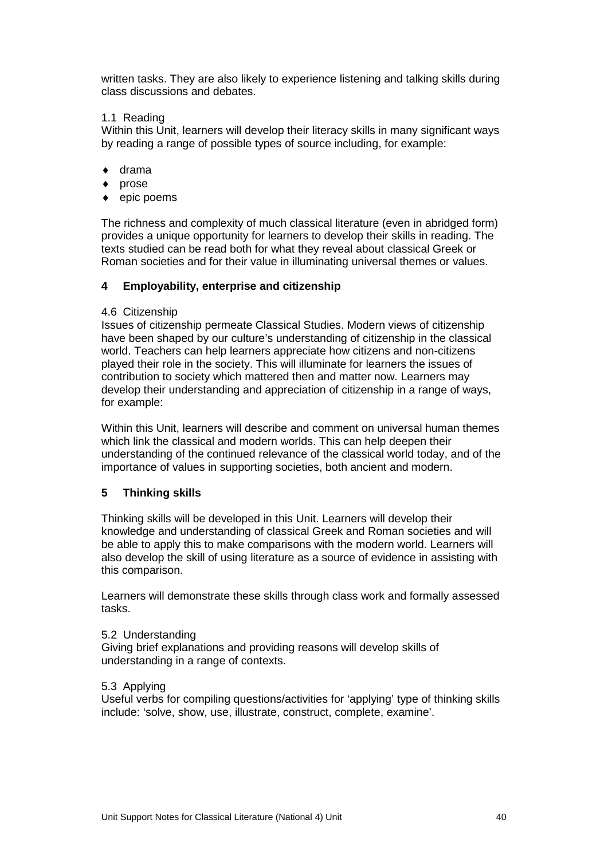written tasks. They are also likely to experience listening and talking skills during class discussions and debates.

### 1.1 Reading

Within this Unit, learners will develop their literacy skills in many significant ways by reading a range of possible types of source including, for example:

- $\bullet$  drama
- prose
- epic poems

The richness and complexity of much classical literature (even in abridged form) provides a unique opportunity for learners to develop their skills in reading. The texts studied can be read both for what they reveal about classical Greek or Roman societies and for their value in illuminating universal themes or values.

### **4 Employability, enterprise and citizenship**

### 4.6 Citizenship

Issues of citizenship permeate Classical Studies. Modern views of citizenship have been shaped by our culture's understanding of citizenship in the classical world. Teachers can help learners appreciate how citizens and non-citizens played their role in the society. This will illuminate for learners the issues of contribution to society which mattered then and matter now. Learners may develop their understanding and appreciation of citizenship in a range of ways, for example:

Within this Unit, learners will describe and comment on universal human themes which link the classical and modern worlds. This can help deepen their understanding of the continued relevance of the classical world today, and of the importance of values in supporting societies, both ancient and modern.

### **5 Thinking skills**

Thinking skills will be developed in this Unit. Learners will develop their knowledge and understanding of classical Greek and Roman societies and will be able to apply this to make comparisons with the modern world. Learners will also develop the skill of using literature as a source of evidence in assisting with this comparison.

Learners will demonstrate these skills through class work and formally assessed tasks.

### 5.2 Understanding

Giving brief explanations and providing reasons will develop skills of understanding in a range of contexts.

### 5.3 Applying

Useful verbs for compiling questions/activities for 'applying' type of thinking skills include: 'solve, show, use, illustrate, construct, complete, examine'.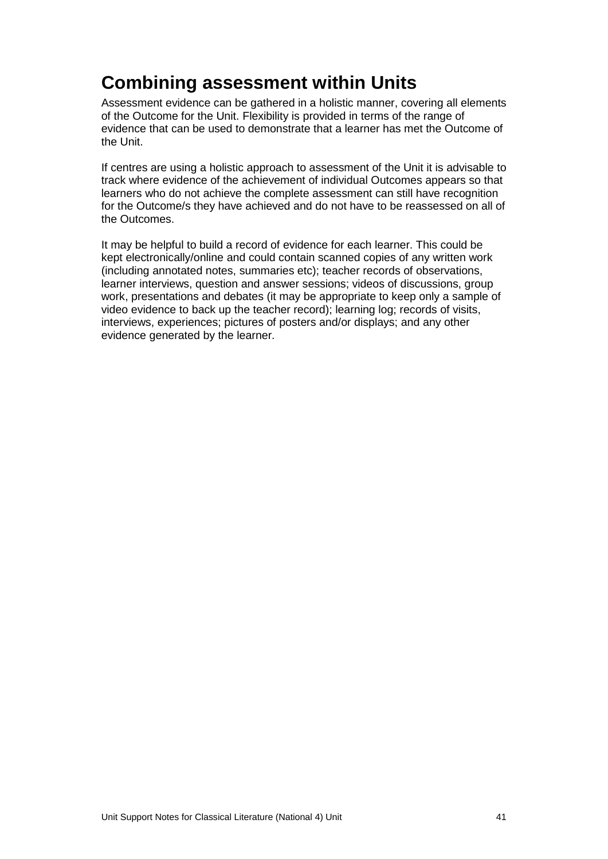### **Combining assessment within Units**

Assessment evidence can be gathered in a holistic manner, covering all elements of the Outcome for the Unit. Flexibility is provided in terms of the range of evidence that can be used to demonstrate that a learner has met the Outcome of the Unit.

If centres are using a holistic approach to assessment of the Unit it is advisable to track where evidence of the achievement of individual Outcomes appears so that learners who do not achieve the complete assessment can still have recognition for the Outcome/s they have achieved and do not have to be reassessed on all of the Outcomes.

It may be helpful to build a record of evidence for each learner. This could be kept electronically/online and could contain scanned copies of any written work (including annotated notes, summaries etc); teacher records of observations, learner interviews, question and answer sessions; videos of discussions, group work, presentations and debates (it may be appropriate to keep only a sample of video evidence to back up the teacher record); learning log; records of visits, interviews, experiences; pictures of posters and/or displays; and any other evidence generated by the learner.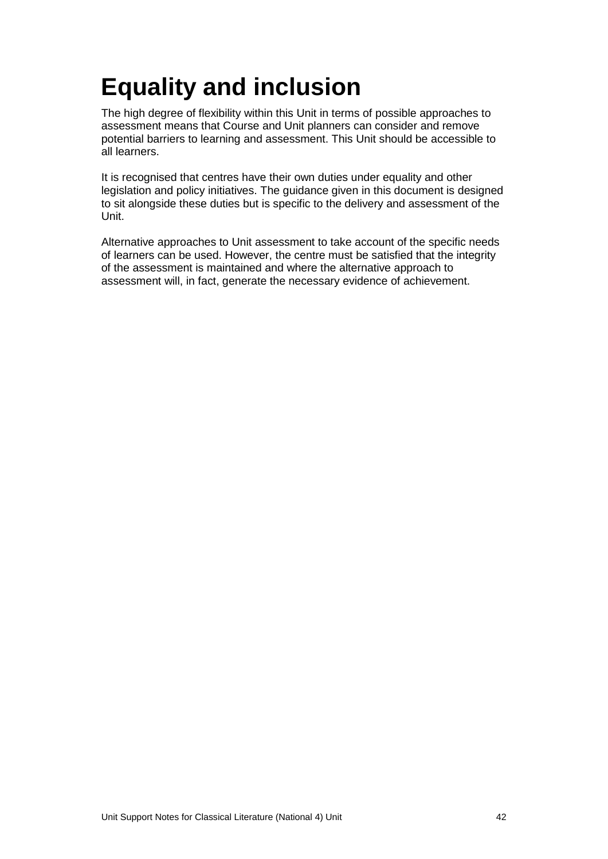# <span id="page-44-0"></span>**Equality and inclusion**

The high degree of flexibility within this Unit in terms of possible approaches to assessment means that Course and Unit planners can consider and remove potential barriers to learning and assessment. This Unit should be accessible to all learners.

It is recognised that centres have their own duties under equality and other legislation and policy initiatives. The guidance given in this document is designed to sit alongside these duties but is specific to the delivery and assessment of the Unit.

Alternative approaches to Unit assessment to take account of the specific needs of learners can be used. However, the centre must be satisfied that the integrity of the assessment is maintained and where the alternative approach to assessment will, in fact, generate the necessary evidence of achievement.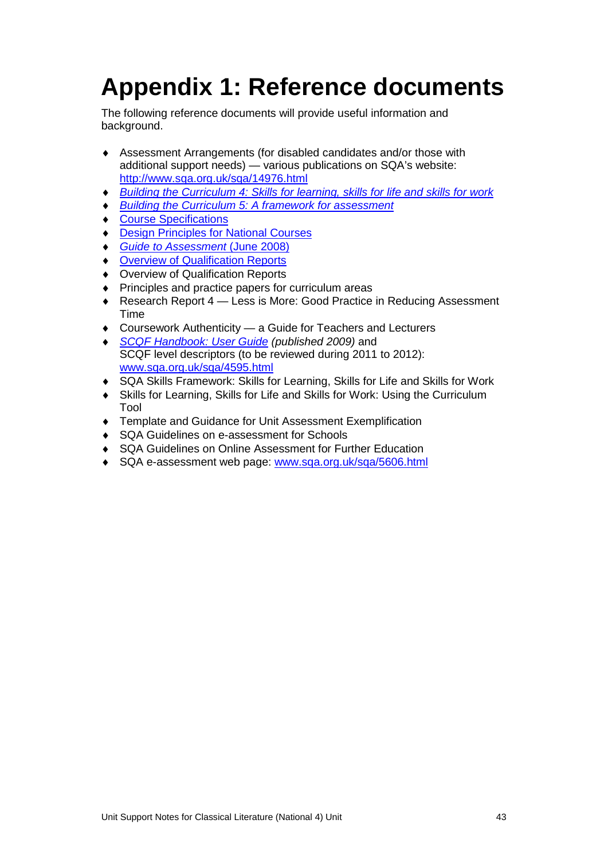# <span id="page-45-0"></span>**Appendix 1: Reference documents**

The following reference documents will provide useful information and background.

- ♦ Assessment Arrangements (for disabled candidates and/or those with additional support needs) — various publications on SQA's website: <http://www.sqa.org.uk/sqa/14976.html>
- *[Building the Curriculum 4: Skills for learning, skills for life and skills for work](http://www.ltscotland.org.uk/buildingyourcurriculum/policycontext/btc/btc4.asp)*
- **[Building the Curriculum 5: A framework for assessment](http://www.ltscotland.org.uk/buildingyourcurriculum/policycontext/btc/btc5.asp)**
- ♦ [Course Specifications](http://www.sqa.org.uk/sqa/46327.2947.html)
- **[Design Principles for National Courses](http://www.sqa.org.uk/sqa/42135.2629.html)**
- ♦ *[Guide to Assessment](http://www.sqa.org.uk/files_ccc/GuideToAssessment.pdf)* (June 2008)
- **[Overview of Qualification Reports](http://www.sqa.org.uk/sqa/42467.2792.html)**
- ♦ Overview of Qualification Reports
- ♦ Principles and practice papers for curriculum areas
- ♦ Research Report 4 Less is More: Good Practice in Reducing Assessment Time
- Coursework Authenticity a Guide for Teachers and Lecturers
- ♦ *[SCQF Handbook: User Guide](http://www.scqf.org.uk/Resources) (published 2009)* and SCQF level descriptors (to be reviewed during 2011 to 2012): [www.sqa.org.uk/sqa/4595.html](http://www.sqa.org.uk/sqa/4595.html)
- ♦ [SQA Skills Framework: Skills for Learning, Skills for Life and Skills for Work](http://www.sqa.org.uk/sqa/45395.html)
- ♦ [Skills for Learning, Skills for Life and Skills for Work: Using the Curriculum](http://www.sqa.org.uk/sqa/45395.html)  [Tool](http://www.sqa.org.uk/sqa/45395.html)
- ♦ Template and Guidance for Unit Assessment Exemplification
- ♦ SQA Guidelines on e-assessment for Schools
- ♦ SQA Guidelines on Online Assessment for Further Education
- ♦ SQA e-assessment web page: [www.sqa.org.uk/sqa/5606.html](http://www.sqa.org.uk/sqa/5606.html)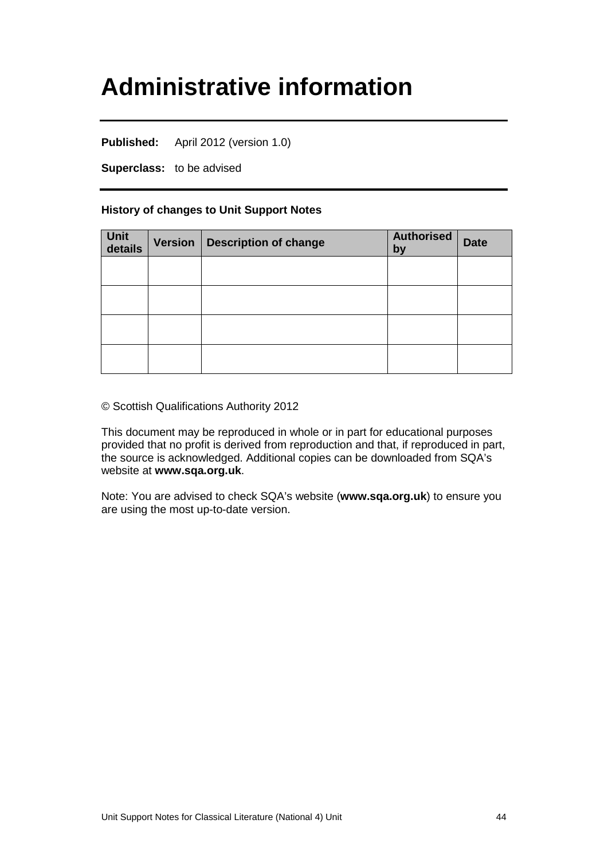## <span id="page-46-0"></span>**Administrative information**

**Published:** April 2012 (version 1.0)

**Superclass:** to be advised

### **History of changes to Unit Support Notes**

| Unit<br>details | Version   Description of change | <b>Authorised</b><br>by | <b>Date</b> |
|-----------------|---------------------------------|-------------------------|-------------|
|                 |                                 |                         |             |
|                 |                                 |                         |             |
|                 |                                 |                         |             |
|                 |                                 |                         |             |

© Scottish Qualifications Authority 2012

This document may be reproduced in whole or in part for educational purposes provided that no profit is derived from reproduction and that, if reproduced in part, the source is acknowledged. Additional copies can be downloaded from SQA's website at **[www.sqa.org.uk](http://www.sqa.org.uk/)**.

Note: You are advised to check SQA's website (**[www.sqa.org.uk](http://www.sqa.org.uk/)**) to ensure you are using the most up-to-date version.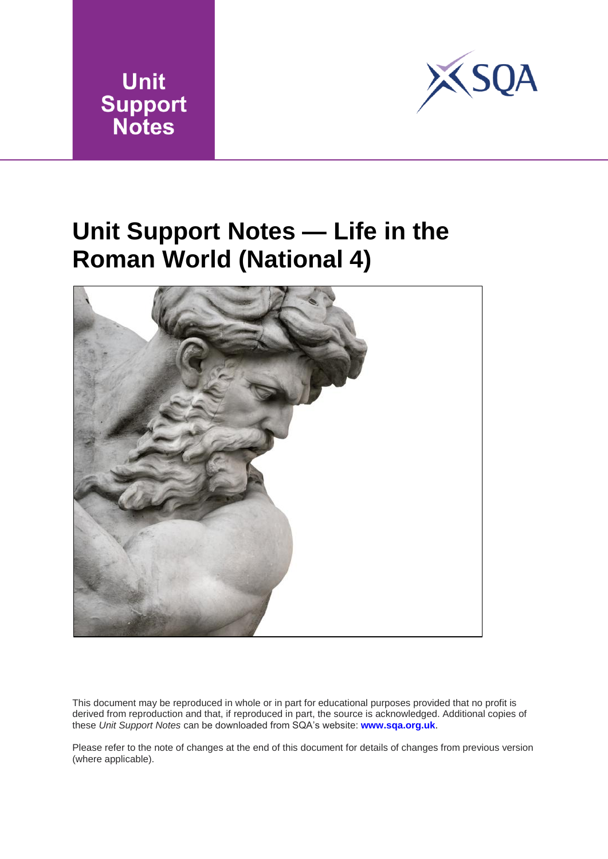



## <span id="page-47-0"></span>**Unit Support Notes — Life in the Roman World (National 4)**



This document may be reproduced in whole or in part for educational purposes provided that no profit is derived from reproduction and that, if reproduced [in part, the source is](http://www.sqa.org.uk/) acknowledged. Additional copies of these *Unit Support Notes* can be downloaded from SQA's website: **www.sqa.org.uk**.

Please refer to the note of changes at the end of this document for details of changes from previous version (where applicable).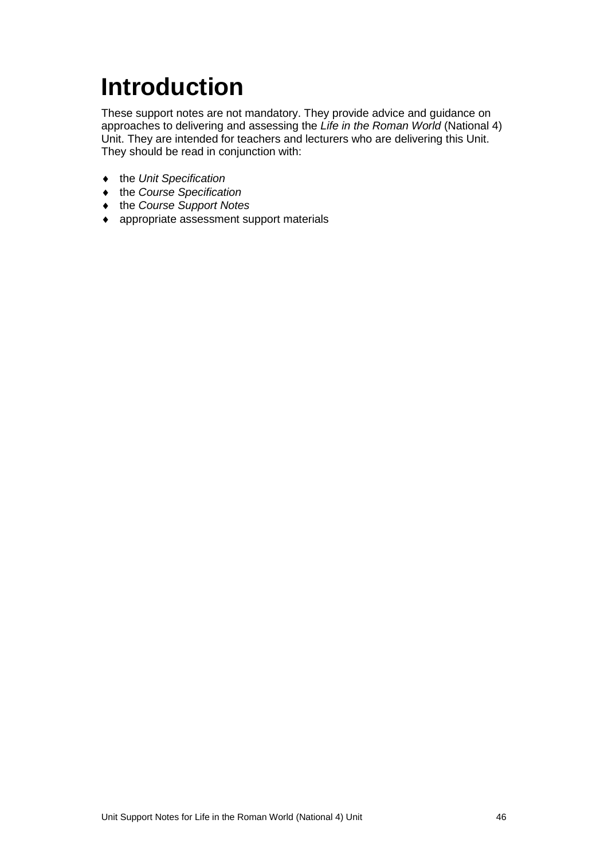# <span id="page-48-0"></span>**Introduction**

These support notes are not mandatory. They provide advice and guidance on approaches to delivering and assessing the *Life in the Roman World* (National 4) Unit. They are intended for teachers and lecturers who are delivering this Unit. They should be read in conjunction with:

- ♦ the *Unit Specification*
- ♦ the *Course Specification*
- ♦ the *Course Support Notes*
- ♦ appropriate assessment support materials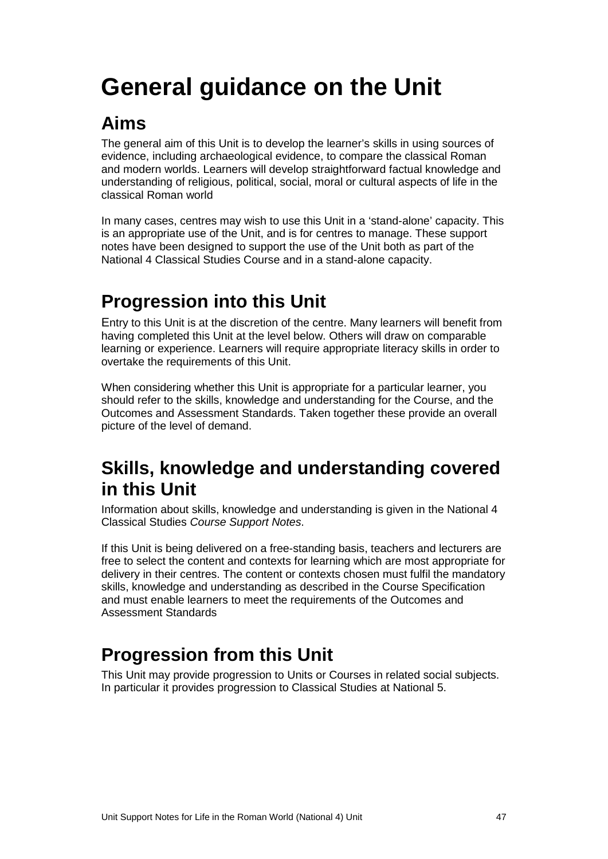# <span id="page-49-0"></span>**General guidance on the Unit**

### **Aims**

The general aim of this Unit is to develop the learner's skills in using sources of evidence, including archaeological evidence, to compare the classical Roman and modern worlds. Learners will develop straightforward factual knowledge and understanding of religious, political, social, moral or cultural aspects of life in the classical Roman world

In many cases, centres may wish to use this Unit in a 'stand-alone' capacity. This is an appropriate use of the Unit, and is for centres to manage. These support notes have been designed to support the use of the Unit both as part of the National 4 Classical Studies Course and in a stand-alone capacity.

### **Progression into this Unit**

Entry to this Unit is at the discretion of the centre. Many learners will benefit from having completed this Unit at the level below. Others will draw on comparable learning or experience. Learners will require appropriate literacy skills in order to overtake the requirements of this Unit.

When considering whether this Unit is appropriate for a particular learner, you should refer to the skills, knowledge and understanding for the Course, and the Outcomes and Assessment Standards. Taken together these provide an overall picture of the level of demand.

### **Skills, knowledge and understanding covered in this Unit**

Information about skills, knowledge and understanding is given in the National 4 Classical Studies *Course Support Notes*.

If this Unit is being delivered on a free-standing basis, teachers and lecturers are free to select the content and contexts for learning which are most appropriate for delivery in their centres. The content or contexts chosen must fulfil the mandatory skills, knowledge and understanding as described in the Course Specification and must enable learners to meet the requirements of the Outcomes and Assessment Standards

### **Progression from this Unit**

This Unit may provide progression to Units or Courses in related social subjects. In particular it provides progression to Classical Studies at National 5.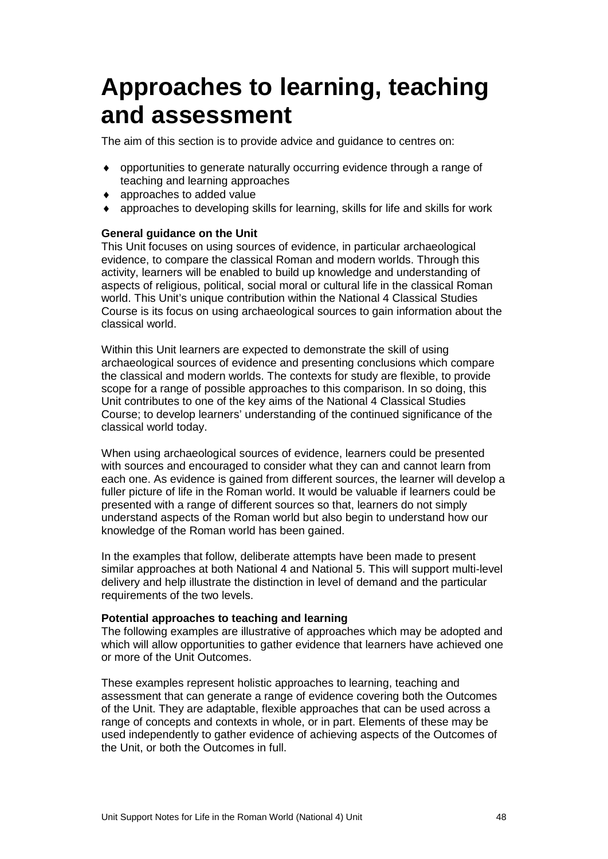## <span id="page-50-0"></span>**Approaches to learning, teaching and assessment**

The aim of this section is to provide advice and guidance to centres on:

- ♦ opportunities to generate naturally occurring evidence through a range of teaching and learning approaches
- ♦ approaches to added value
- $\bullet$  approaches to developing skills for learning, skills for life and skills for work

### **General guidance on the Unit**

This Unit focuses on using sources of evidence, in particular archaeological evidence, to compare the classical Roman and modern worlds. Through this activity, learners will be enabled to build up knowledge and understanding of aspects of religious, political, social moral or cultural life in the classical Roman world. This Unit's unique contribution within the National 4 Classical Studies Course is its focus on using archaeological sources to gain information about the classical world.

Within this Unit learners are expected to demonstrate the skill of using archaeological sources of evidence and presenting conclusions which compare the classical and modern worlds. The contexts for study are flexible, to provide scope for a range of possible approaches to this comparison. In so doing, this Unit contributes to one of the key aims of the National 4 Classical Studies Course; to develop learners' understanding of the continued significance of the classical world today.

When using archaeological sources of evidence, learners could be presented with sources and encouraged to consider what they can and cannot learn from each one. As evidence is gained from different sources, the learner will develop a fuller picture of life in the Roman world. It would be valuable if learners could be presented with a range of different sources so that, learners do not simply understand aspects of the Roman world but also begin to understand how our knowledge of the Roman world has been gained.

In the examples that follow, deliberate attempts have been made to present similar approaches at both National 4 and National 5. This will support multi-level delivery and help illustrate the distinction in level of demand and the particular requirements of the two levels.

### **Potential approaches to teaching and learning**

The following examples are illustrative of approaches which may be adopted and which will allow opportunities to gather evidence that learners have achieved one or more of the Unit Outcomes.

These examples represent holistic approaches to learning, teaching and assessment that can generate a range of evidence covering both the Outcomes of the Unit. They are adaptable, flexible approaches that can be used across a range of concepts and contexts in whole, or in part. Elements of these may be used independently to gather evidence of achieving aspects of the Outcomes of the Unit, or both the Outcomes in full.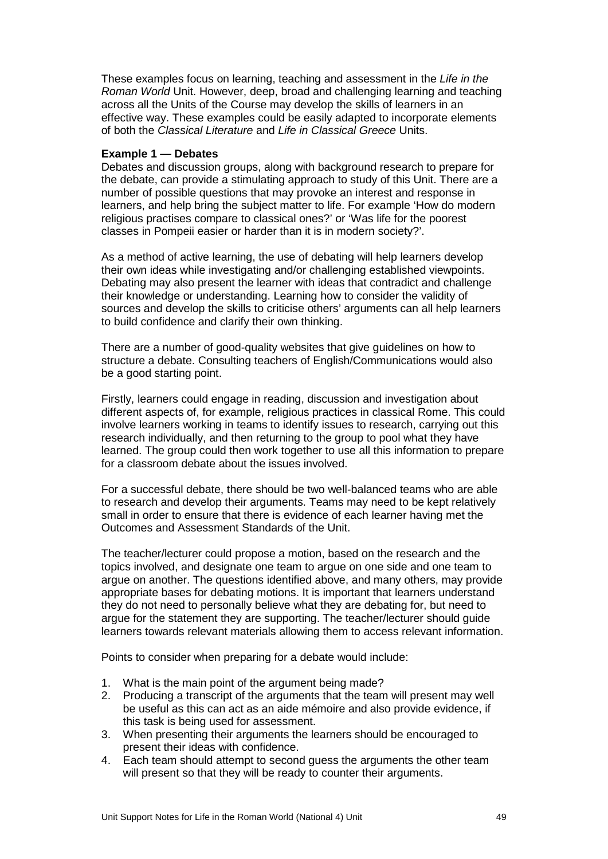These examples focus on learning, teaching and assessment in the *Life in the Roman World* Unit. However, deep, broad and challenging learning and teaching across all the Units of the Course may develop the skills of learners in an effective way. These examples could be easily adapted to incorporate elements of both the *Classical Literature* and *Life in Classical Greece* Units.

### **Example 1 — Debates**

Debates and discussion groups, along with background research to prepare for the debate, can provide a stimulating approach to study of this Unit. There are a number of possible questions that may provoke an interest and response in learners, and help bring the subject matter to life. For example 'How do modern religious practises compare to classical ones?' or 'Was life for the poorest classes in Pompeii easier or harder than it is in modern society?'.

As a method of active learning, the use of debating will help learners develop their own ideas while investigating and/or challenging established viewpoints. Debating may also present the learner with ideas that contradict and challenge their knowledge or understanding. Learning how to consider the validity of sources and develop the skills to criticise others' arguments can all help learners to build confidence and clarify their own thinking.

There are a number of good-quality websites that give guidelines on how to structure a debate. Consulting teachers of English/Communications would also be a good starting point.

Firstly, learners could engage in reading, discussion and investigation about different aspects of, for example, religious practices in classical Rome. This could involve learners working in teams to identify issues to research, carrying out this research individually, and then returning to the group to pool what they have learned. The group could then work together to use all this information to prepare for a classroom debate about the issues involved.

For a successful debate, there should be two well-balanced teams who are able to research and develop their arguments. Teams may need to be kept relatively small in order to ensure that there is evidence of each learner having met the Outcomes and Assessment Standards of the Unit.

The teacher/lecturer could propose a motion, based on the research and the topics involved, and designate one team to argue on one side and one team to argue on another. The questions identified above, and many others, may provide appropriate bases for debating motions. It is important that learners understand they do not need to personally believe what they are debating for, but need to argue for the statement they are supporting. The teacher/lecturer should guide learners towards relevant materials allowing them to access relevant information.

Points to consider when preparing for a debate would include:

- 1. What is the main point of the argument being made?
- 2. Producing a transcript of the arguments that the team will present may well be useful as this can act as an aide mémoire and also provide evidence, if this task is being used for assessment.
- 3. When presenting their arguments the learners should be encouraged to present their ideas with confidence.
- 4. Each team should attempt to second guess the arguments the other team will present so that they will be ready to counter their arguments.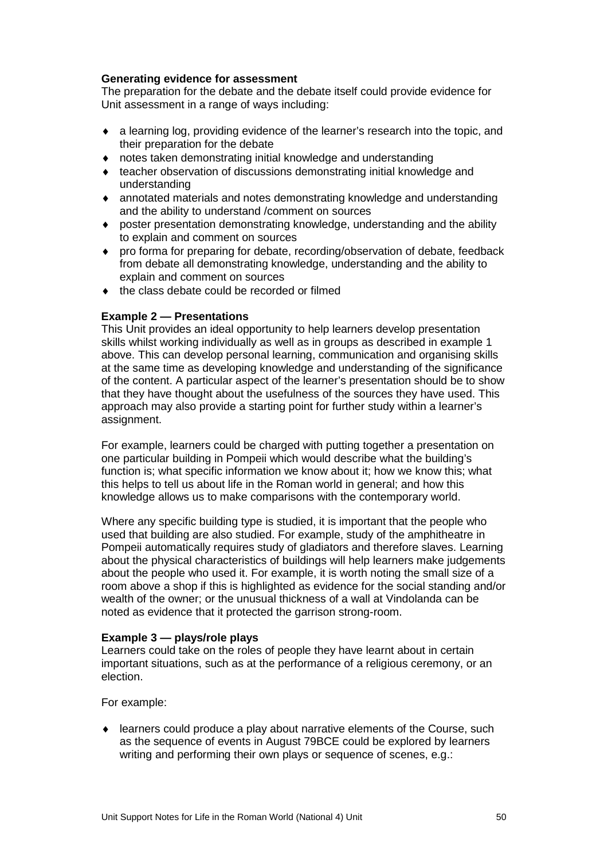### **Generating evidence for assessment**

The preparation for the debate and the debate itself could provide evidence for Unit assessment in a range of ways including:

- ♦ a learning log, providing evidence of the learner's research into the topic, and their preparation for the debate
- ♦ notes taken demonstrating initial knowledge and understanding
- ♦ teacher observation of discussions demonstrating initial knowledge and understanding
- ♦ annotated materials and notes demonstrating knowledge and understanding and the ability to understand /comment on sources
- ♦ poster presentation demonstrating knowledge, understanding and the ability to explain and comment on sources
- ♦ pro forma for preparing for debate, recording/observation of debate, feedback from debate all demonstrating knowledge, understanding and the ability to explain and comment on sources
- ♦ the class debate could be recorded or filmed

### **Example 2 — Presentations**

This Unit provides an ideal opportunity to help learners develop presentation skills whilst working individually as well as in groups as described in example 1 above. This can develop personal learning, communication and organising skills at the same time as developing knowledge and understanding of the significance of the content. A particular aspect of the learner's presentation should be to show that they have thought about the usefulness of the sources they have used. This approach may also provide a starting point for further study within a learner's assignment.

For example, learners could be charged with putting together a presentation on one particular building in Pompeii which would describe what the building's function is; what specific information we know about it; how we know this; what this helps to tell us about life in the Roman world in general; and how this knowledge allows us to make comparisons with the contemporary world.

Where any specific building type is studied, it is important that the people who used that building are also studied. For example, study of the amphitheatre in Pompeii automatically requires study of gladiators and therefore slaves. Learning about the physical characteristics of buildings will help learners make judgements about the people who used it. For example, it is worth noting the small size of a room above a shop if this is highlighted as evidence for the social standing and/or wealth of the owner; or the unusual thickness of a wall at Vindolanda can be noted as evidence that it protected the garrison strong-room.

### **Example 3 — plays/role plays**

Learners could take on the roles of people they have learnt about in certain important situations, such as at the performance of a religious ceremony, or an election.

### For example:

learners could produce a play about narrative elements of the Course, such as the sequence of events in August 79BCE could be explored by learners writing and performing their own plays or sequence of scenes, e.g.: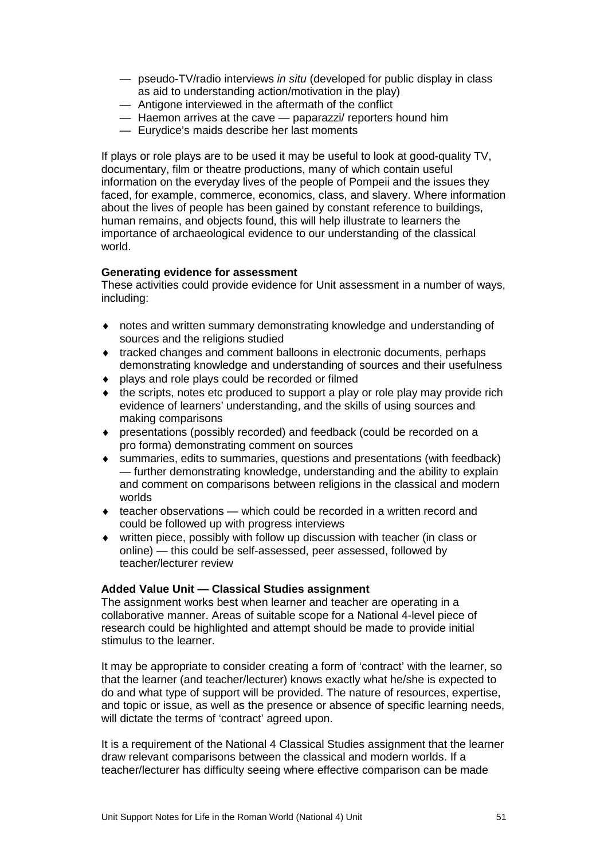- pseudo-TV/radio interviews *in situ* (developed for public display in class as aid to understanding action/motivation in the play)
- Antigone interviewed in the aftermath of the conflict
- Haemon arrives at the cave paparazzi/ reporters hound him
- Eurydice's maids describe her last moments

If plays or role plays are to be used it may be useful to look at good-quality TV, documentary, film or theatre productions, many of which contain useful information on the everyday lives of the people of Pompeii and the issues they faced, for example, commerce, economics, class, and slavery. Where information about the lives of people has been gained by constant reference to buildings, human remains, and objects found, this will help illustrate to learners the importance of archaeological evidence to our understanding of the classical world.

### **Generating evidence for assessment**

These activities could provide evidence for Unit assessment in a number of ways, including:

- ♦ notes and written summary demonstrating knowledge and understanding of sources and the religions studied
- ♦ tracked changes and comment balloons in electronic documents, perhaps demonstrating knowledge and understanding of sources and their usefulness
- ♦ plays and role plays could be recorded or filmed
- $\bullet$  the scripts, notes etc produced to support a play or role play may provide rich evidence of learners' understanding, and the skills of using sources and making comparisons
- ♦ presentations (possibly recorded) and feedback (could be recorded on a pro forma) demonstrating comment on sources
- ♦ summaries, edits to summaries, questions and presentations (with feedback) — further demonstrating knowledge, understanding and the ability to explain and comment on comparisons between religions in the classical and modern worlds
- $\bullet$  teacher observations which could be recorded in a written record and could be followed up with progress interviews
- ♦ written piece, possibly with follow up discussion with teacher (in class or online) — this could be self-assessed, peer assessed, followed by teacher/lecturer review

### **Added Value Unit — Classical Studies assignment**

The assignment works best when learner and teacher are operating in a collaborative manner. Areas of suitable scope for a National 4-level piece of research could be highlighted and attempt should be made to provide initial stimulus to the learner.

It may be appropriate to consider creating a form of 'contract' with the learner, so that the learner (and teacher/lecturer) knows exactly what he/she is expected to do and what type of support will be provided. The nature of resources, expertise, and topic or issue, as well as the presence or absence of specific learning needs, will dictate the terms of 'contract' agreed upon.

It is a requirement of the National 4 Classical Studies assignment that the learner draw relevant comparisons between the classical and modern worlds. If a teacher/lecturer has difficulty seeing where effective comparison can be made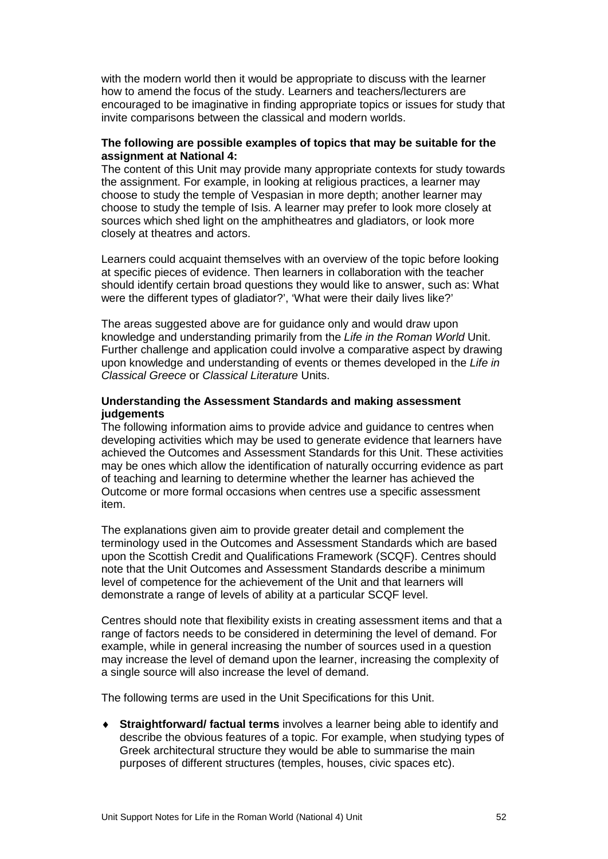with the modern world then it would be appropriate to discuss with the learner how to amend the focus of the study. Learners and teachers/lecturers are encouraged to be imaginative in finding appropriate topics or issues for study that invite comparisons between the classical and modern worlds.

### **The following are possible examples of topics that may be suitable for the assignment at National 4:**

The content of this Unit may provide many appropriate contexts for study towards the assignment. For example, in looking at religious practices, a learner may choose to study the temple of Vespasian in more depth; another learner may choose to study the temple of Isis. A learner may prefer to look more closely at sources which shed light on the amphitheatres and gladiators, or look more closely at theatres and actors.

Learners could acquaint themselves with an overview of the topic before looking at specific pieces of evidence. Then learners in collaboration with the teacher should identify certain broad questions they would like to answer, such as: What were the different types of gladiator?', 'What were their daily lives like?'

The areas suggested above are for guidance only and would draw upon knowledge and understanding primarily from the *Life in the Roman World* Unit. Further challenge and application could involve a comparative aspect by drawing upon knowledge and understanding of events or themes developed in the *Life in Classical Greece* or *Classical Literature* Units.

### **Understanding the Assessment Standards and making assessment judgements**

The following information aims to provide advice and guidance to centres when developing activities which may be used to generate evidence that learners have achieved the Outcomes and Assessment Standards for this Unit. These activities may be ones which allow the identification of naturally occurring evidence as part of teaching and learning to determine whether the learner has achieved the Outcome or more formal occasions when centres use a specific assessment item.

The explanations given aim to provide greater detail and complement the terminology used in the Outcomes and Assessment Standards which are based upon the Scottish Credit and Qualifications Framework (SCQF). Centres should note that the Unit Outcomes and Assessment Standards describe a minimum level of competence for the achievement of the Unit and that learners will demonstrate a range of levels of ability at a particular SCQF level.

Centres should note that flexibility exists in creating assessment items and that a range of factors needs to be considered in determining the level of demand. For example, while in general increasing the number of sources used in a question may increase the level of demand upon the learner, increasing the complexity of a single source will also increase the level of demand.

The following terms are used in the Unit Specifications for this Unit.

♦ **Straightforward/ factual terms** involves a learner being able to identify and describe the obvious features of a topic. For example, when studying types of Greek architectural structure they would be able to summarise the main purposes of different structures (temples, houses, civic spaces etc).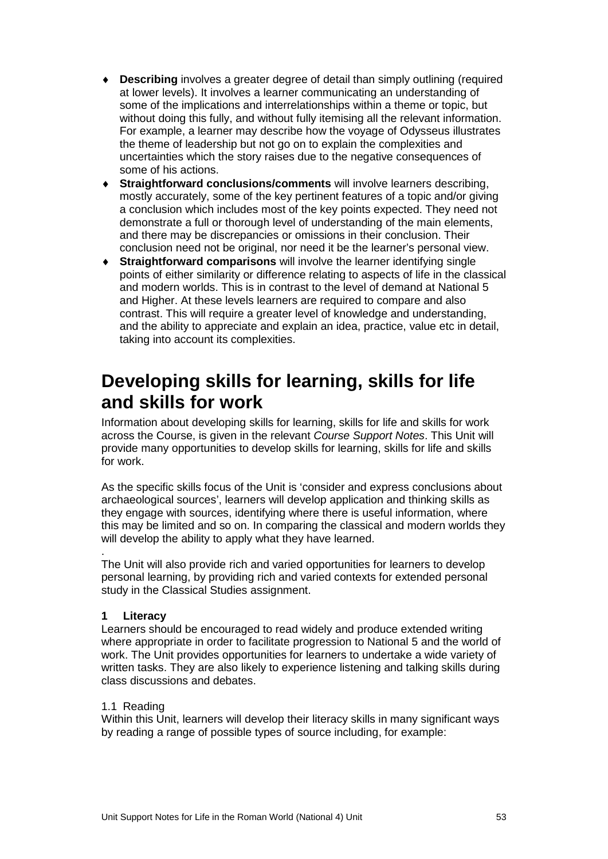- ♦ **Describing** involves a greater degree of detail than simply outlining (required at lower levels). It involves a learner communicating an understanding of some of the implications and interrelationships within a theme or topic, but without doing this fully, and without fully itemising all the relevant information. For example, a learner may describe how the voyage of Odysseus illustrates the theme of leadership but not go on to explain the complexities and uncertainties which the story raises due to the negative consequences of some of his actions.
- ♦ **Straightforward conclusions/comments** will involve learners describing, mostly accurately, some of the key pertinent features of a topic and/or giving a conclusion which includes most of the key points expected. They need not demonstrate a full or thorough level of understanding of the main elements, and there may be discrepancies or omissions in their conclusion. Their conclusion need not be original, nor need it be the learner's personal view.
- ♦ **Straightforward comparisons** will involve the learner identifying single points of either similarity or difference relating to aspects of life in the classical and modern worlds. This is in contrast to the level of demand at National 5 and Higher. At these levels learners are required to compare and also contrast. This will require a greater level of knowledge and understanding, and the ability to appreciate and explain an idea, practice, value etc in detail, taking into account its complexities.

### **Developing skills for learning, skills for life and skills for work**

Information about developing skills for learning, skills for life and skills for work across the Course, is given in the relevant *Course Support Notes*. This Unit will provide many opportunities to develop skills for learning, skills for life and skills for work.

As the specific skills focus of the Unit is 'consider and express conclusions about archaeological sources', learners will develop application and thinking skills as they engage with sources, identifying where there is useful information, where this may be limited and so on. In comparing the classical and modern worlds they will develop the ability to apply what they have learned.

. The Unit will also provide rich and varied opportunities for learners to develop personal learning, by providing rich and varied contexts for extended personal study in the Classical Studies assignment.

### **1 Literacy**

Learners should be encouraged to read widely and produce extended writing where appropriate in order to facilitate progression to National 5 and the world of work. The Unit provides opportunities for learners to undertake a wide variety of written tasks. They are also likely to experience listening and talking skills during class discussions and debates.

### 1.1 Reading

Within this Unit, learners will develop their literacy skills in many significant ways by reading a range of possible types of source including, for example: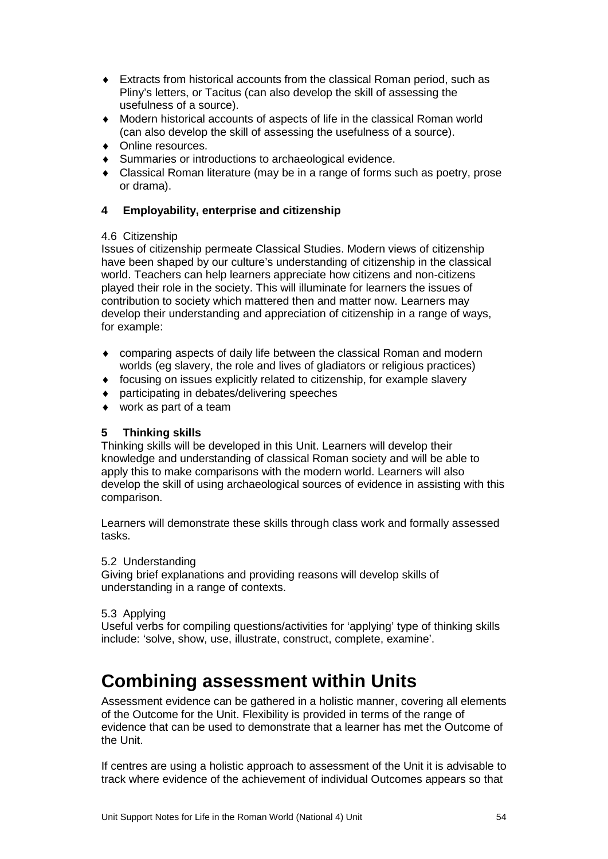- ♦ Extracts from historical accounts from the classical Roman period, such as Pliny's letters, or Tacitus (can also develop the skill of assessing the usefulness of a source).
- ♦ Modern historical accounts of aspects of life in the classical Roman world (can also develop the skill of assessing the usefulness of a source).
- ♦ Online resources.
- ♦ Summaries or introductions to archaeological evidence.
- ♦ Classical Roman literature (may be in a range of forms such as poetry, prose or drama).

### **4 Employability, enterprise and citizenship**

### 4.6 Citizenship

Issues of citizenship permeate Classical Studies. Modern views of citizenship have been shaped by our culture's understanding of citizenship in the classical world. Teachers can help learners appreciate how citizens and non-citizens played their role in the society. This will illuminate for learners the issues of contribution to society which mattered then and matter now. Learners may develop their understanding and appreciation of citizenship in a range of ways, for example:

- ♦ comparing aspects of daily life between the classical Roman and modern worlds (eg slavery, the role and lives of gladiators or religious practices)
- ♦ focusing on issues explicitly related to citizenship, for example slavery
- ♦ participating in debates/delivering speeches
- $\leftrightarrow$  work as part of a team

### **5 Thinking skills**

Thinking skills will be developed in this Unit. Learners will develop their knowledge and understanding of classical Roman society and will be able to apply this to make comparisons with the modern world. Learners will also develop the skill of using archaeological sources of evidence in assisting with this comparison.

Learners will demonstrate these skills through class work and formally assessed tasks.

### 5.2 Understanding

Giving brief explanations and providing reasons will develop skills of understanding in a range of contexts.

### 5.3 Applying

Useful verbs for compiling questions/activities for 'applying' type of thinking skills include: 'solve, show, use, illustrate, construct, complete, examine'.

### **Combining assessment within Units**

Assessment evidence can be gathered in a holistic manner, covering all elements of the Outcome for the Unit. Flexibility is provided in terms of the range of evidence that can be used to demonstrate that a learner has met the Outcome of the Unit.

If centres are using a holistic approach to assessment of the Unit it is advisable to track where evidence of the achievement of individual Outcomes appears so that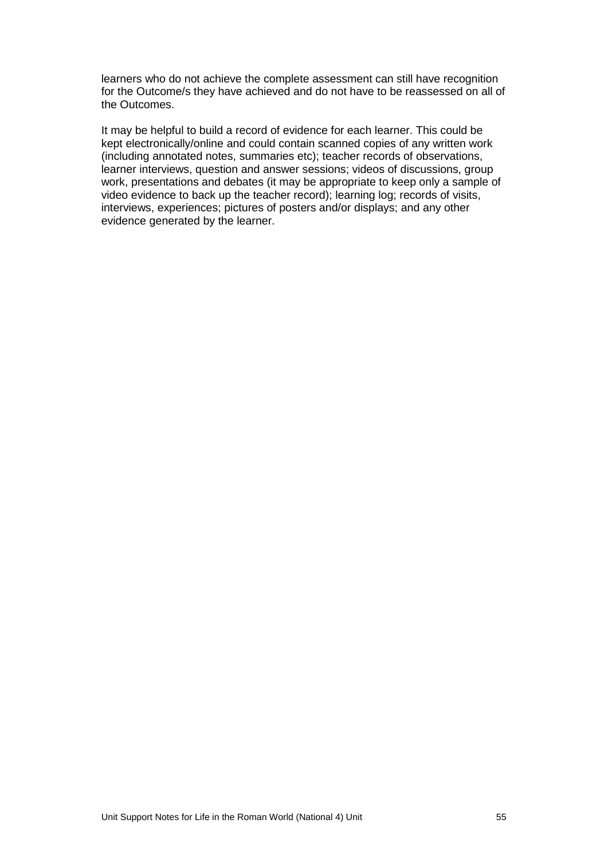learners who do not achieve the complete assessment can still have recognition for the Outcome/s they have achieved and do not have to be reassessed on all of the Outcomes.

It may be helpful to build a record of evidence for each learner. This could be kept electronically/online and could contain scanned copies of any written work (including annotated notes, summaries etc); teacher records of observations, learner interviews, question and answer sessions; videos of discussions, group work, presentations and debates (it may be appropriate to keep only a sample of video evidence to back up the teacher record); learning log; records of visits, interviews, experiences; pictures of posters and/or displays; and any other evidence generated by the learner.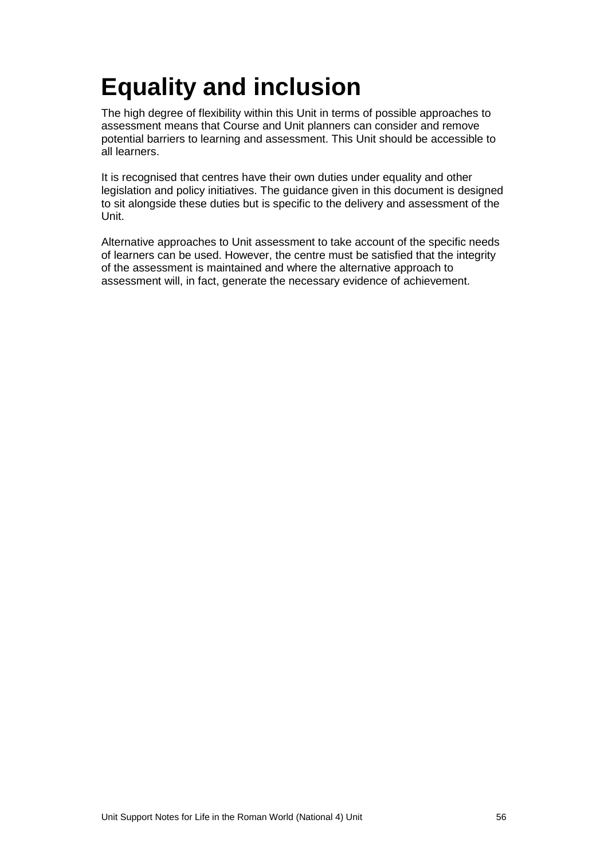# <span id="page-58-0"></span>**Equality and inclusion**

The high degree of flexibility within this Unit in terms of possible approaches to assessment means that Course and Unit planners can consider and remove potential barriers to learning and assessment. This Unit should be accessible to all learners.

It is recognised that centres have their own duties under equality and other legislation and policy initiatives. The guidance given in this document is designed to sit alongside these duties but is specific to the delivery and assessment of the Unit.

Alternative approaches to Unit assessment to take account of the specific needs of learners can be used. However, the centre must be satisfied that the integrity of the assessment is maintained and where the alternative approach to assessment will, in fact, generate the necessary evidence of achievement.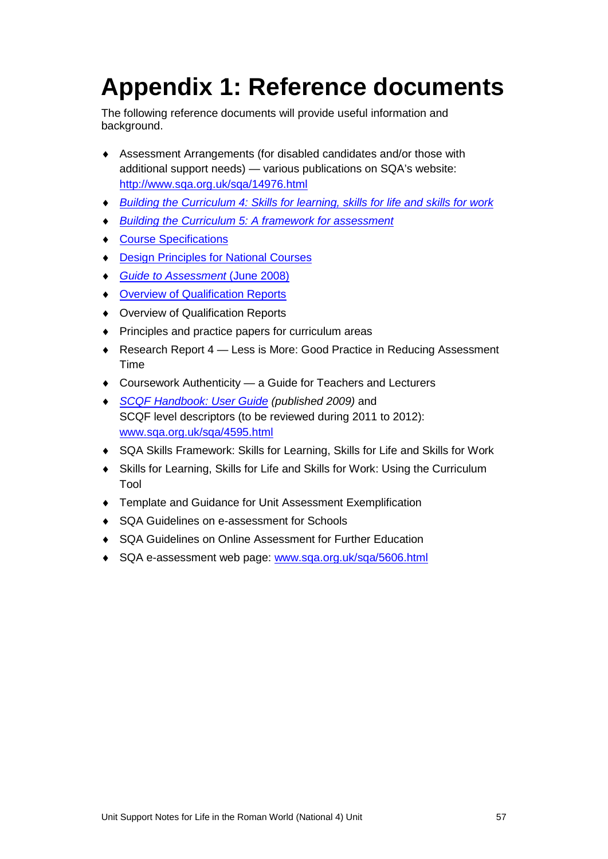# <span id="page-59-0"></span>**Appendix 1: Reference documents**

The following reference documents will provide useful information and background.

- ♦ Assessment Arrangements (for disabled candidates and/or those with additional support needs) — various publications on SQA's website: <http://www.sqa.org.uk/sqa/14976.html>
- ♦ *[Building the Curriculum 4: Skills for learning, skills for life and skills for work](http://www.ltscotland.org.uk/buildingyourcurriculum/policycontext/btc/btc4.asp)*
- *[Building the Curriculum 5: A framework for assessment](http://www.ltscotland.org.uk/buildingyourcurriculum/policycontext/btc/btc5.asp)*
- ♦ [Course Specifications](http://www.sqa.org.uk/sqa/46327.2947.html)
- **[Design Principles for National Courses](http://www.sqa.org.uk/sqa/42135.2629.html)**
- ♦ *[Guide to Assessment](http://www.sqa.org.uk/files_ccc/GuideToAssessment.pdf)* (June 2008)
- ♦ [Overview of Qualification Reports](http://www.sqa.org.uk/sqa/42467.2792.html)
- ♦ Overview of Qualification Reports
- ♦ Principles and practice papers for curriculum areas
- ◆ Research Report 4 Less is More: Good Practice in Reducing Assessment Time
- ♦ Coursework Authenticity a Guide for Teachers and Lecturers
- **[SCQF Handbook: User Guide](http://www.scqf.org.uk/Resources) (published 2009) and** SCQF level descriptors (to be reviewed during 2011 to 2012): [www.sqa.org.uk/sqa/4595.html](http://www.sqa.org.uk/sqa/4595.html)
- ♦ [SQA Skills Framework: Skills for Learning, Skills for Life and Skills for Work](http://www.sqa.org.uk/sqa/45395.html)
- ♦ [Skills for Learning, Skills for Life and Skills for Work: Using the Curriculum](http://www.sqa.org.uk/sqa/45395.html)  [Tool](http://www.sqa.org.uk/sqa/45395.html)
- ♦ Template and Guidance for Unit Assessment Exemplification
- ♦ SQA Guidelines on e-assessment for Schools
- ♦ SQA Guidelines on Online Assessment for Further Education
- SQA e-assessment web page: [www.sqa.org.uk/sqa/5606.html](http://www.sqa.org.uk/sqa/5606.html)